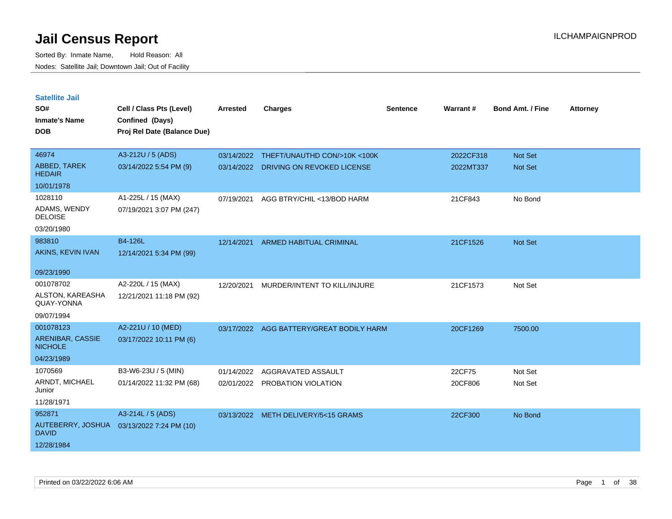| <b>Satellite Jail</b>              |                                           |            |                                          |          |           |                         |                 |
|------------------------------------|-------------------------------------------|------------|------------------------------------------|----------|-----------|-------------------------|-----------------|
| SO#                                | Cell / Class Pts (Level)                  | Arrested   | <b>Charges</b>                           | Sentence | Warrant#  | <b>Bond Amt. / Fine</b> | <b>Attorney</b> |
| <b>Inmate's Name</b>               | Confined (Days)                           |            |                                          |          |           |                         |                 |
| <b>DOB</b>                         | Proj Rel Date (Balance Due)               |            |                                          |          |           |                         |                 |
|                                    |                                           |            |                                          |          |           |                         |                 |
| 46974                              | A3-212U / 5 (ADS)                         | 03/14/2022 | THEFT/UNAUTHD CON/>10K <100K             |          | 2022CF318 | Not Set                 |                 |
| ABBED, TAREK<br><b>HEDAIR</b>      | 03/14/2022 5:54 PM (9)                    |            | 03/14/2022 DRIVING ON REVOKED LICENSE    |          | 2022MT337 | Not Set                 |                 |
| 10/01/1978                         |                                           |            |                                          |          |           |                         |                 |
| 1028110                            | A1-225L / 15 (MAX)                        | 07/19/2021 | AGG BTRY/CHIL <13/BOD HARM               |          | 21CF843   | No Bond                 |                 |
| ADAMS, WENDY<br><b>DELOISE</b>     | 07/19/2021 3:07 PM (247)                  |            |                                          |          |           |                         |                 |
| 03/20/1980                         |                                           |            |                                          |          |           |                         |                 |
| 983810                             | B4-126L                                   | 12/14/2021 | ARMED HABITUAL CRIMINAL                  |          | 21CF1526  | Not Set                 |                 |
| AKINS, KEVIN IVAN                  | 12/14/2021 5:34 PM (99)                   |            |                                          |          |           |                         |                 |
| 09/23/1990                         |                                           |            |                                          |          |           |                         |                 |
|                                    |                                           |            |                                          |          |           |                         |                 |
| 001078702                          | A2-220L / 15 (MAX)                        | 12/20/2021 | MURDER/INTENT TO KILL/INJURE             |          | 21CF1573  | Not Set                 |                 |
| ALSTON, KAREASHA<br>QUAY-YONNA     | 12/21/2021 11:18 PM (92)                  |            |                                          |          |           |                         |                 |
| 09/07/1994                         |                                           |            |                                          |          |           |                         |                 |
| 001078123                          | A2-221U / 10 (MED)                        |            | 03/17/2022 AGG BATTERY/GREAT BODILY HARM |          | 20CF1269  | 7500.00                 |                 |
| ARENIBAR, CASSIE<br><b>NICHOLE</b> | 03/17/2022 10:11 PM (6)                   |            |                                          |          |           |                         |                 |
| 04/23/1989                         |                                           |            |                                          |          |           |                         |                 |
| 1070569                            | B3-W6-23U / 5 (MIN)                       | 01/14/2022 | AGGRAVATED ASSAULT                       |          | 22CF75    | Not Set                 |                 |
| ARNDT, MICHAEL<br>Junior           | 01/14/2022 11:32 PM (68)                  |            | 02/01/2022 PROBATION VIOLATION           |          | 20CF806   | Not Set                 |                 |
| 11/28/1971                         |                                           |            |                                          |          |           |                         |                 |
| 952871                             | A3-214L / 5 (ADS)                         |            | 03/13/2022 METH DELIVERY/5<15 GRAMS      |          | 22CF300   | No Bond                 |                 |
| <b>DAVID</b>                       | AUTEBERRY, JOSHUA 03/13/2022 7:24 PM (10) |            |                                          |          |           |                         |                 |
| 12/28/1984                         |                                           |            |                                          |          |           |                         |                 |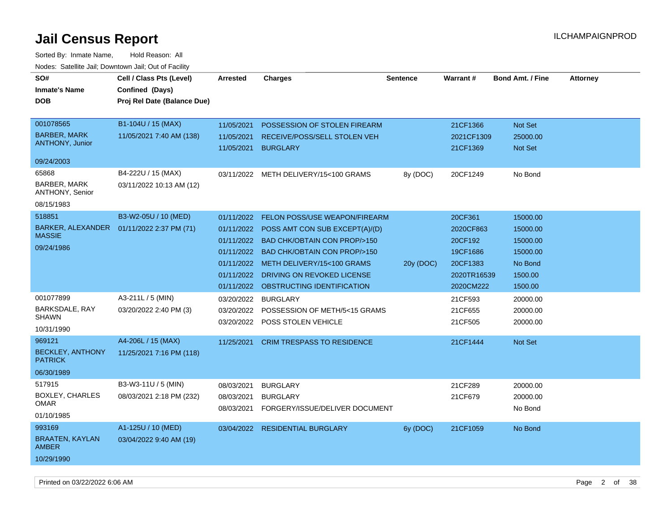| Noucs. Oatchite sail, Downtown sail, Out of Facility |                                            |                     |                                           |                 |             |                         |                 |
|------------------------------------------------------|--------------------------------------------|---------------------|-------------------------------------------|-----------------|-------------|-------------------------|-----------------|
| SO#                                                  | Cell / Class Pts (Level)                   | <b>Arrested</b>     | <b>Charges</b>                            | <b>Sentence</b> | Warrant#    | <b>Bond Amt. / Fine</b> | <b>Attorney</b> |
| <b>Inmate's Name</b>                                 | Confined (Days)                            |                     |                                           |                 |             |                         |                 |
| <b>DOB</b>                                           | Proj Rel Date (Balance Due)                |                     |                                           |                 |             |                         |                 |
|                                                      |                                            |                     |                                           |                 |             |                         |                 |
| 001078565                                            | B1-104U / 15 (MAX)                         | 11/05/2021          | POSSESSION OF STOLEN FIREARM              |                 | 21CF1366    | Not Set                 |                 |
| <b>BARBER, MARK</b>                                  | 11/05/2021 7:40 AM (138)                   | 11/05/2021          | RECEIVE/POSS/SELL STOLEN VEH              |                 | 2021CF1309  | 25000.00                |                 |
| <b>ANTHONY, Junior</b>                               |                                            | 11/05/2021 BURGLARY |                                           |                 | 21CF1369    | <b>Not Set</b>          |                 |
| 09/24/2003                                           |                                            |                     |                                           |                 |             |                         |                 |
| 65868                                                | B4-222U / 15 (MAX)                         |                     | 03/11/2022 METH DELIVERY/15<100 GRAMS     | 8y (DOC)        | 20CF1249    | No Bond                 |                 |
| <b>BARBER, MARK</b><br>ANTHONY, Senior               | 03/11/2022 10:13 AM (12)                   |                     |                                           |                 |             |                         |                 |
| 08/15/1983                                           |                                            |                     |                                           |                 |             |                         |                 |
| 518851                                               | B3-W2-05U / 10 (MED)                       | 01/11/2022          | FELON POSS/USE WEAPON/FIREARM             |                 | 20CF361     | 15000.00                |                 |
|                                                      | BARKER, ALEXANDER  01/11/2022 2:37 PM (71) |                     | 01/11/2022 POSS AMT CON SUB EXCEPT(A)/(D) |                 | 2020CF863   | 15000.00                |                 |
| <b>MASSIE</b>                                        |                                            |                     | 01/11/2022 BAD CHK/OBTAIN CON PROP/>150   |                 | 20CF192     | 15000.00                |                 |
| 09/24/1986                                           |                                            |                     | 01/11/2022 BAD CHK/OBTAIN CON PROP/>150   |                 | 19CF1686    | 15000.00                |                 |
|                                                      |                                            | 01/11/2022          | METH DELIVERY/15<100 GRAMS                | 20y (DOC)       | 20CF1383    | No Bond                 |                 |
|                                                      |                                            | 01/11/2022          | DRIVING ON REVOKED LICENSE                |                 | 2020TR16539 | 1500.00                 |                 |
|                                                      |                                            |                     | 01/11/2022 OBSTRUCTING IDENTIFICATION     |                 | 2020CM222   | 1500.00                 |                 |
| 001077899                                            | A3-211L / 5 (MIN)                          | 03/20/2022          | <b>BURGLARY</b>                           |                 | 21CF593     | 20000.00                |                 |
| BARKSDALE, RAY                                       | 03/20/2022 2:40 PM (3)                     | 03/20/2022          | POSSESSION OF METH/5<15 GRAMS             |                 | 21CF655     | 20000.00                |                 |
| <b>SHAWN</b>                                         |                                            |                     | 03/20/2022 POSS STOLEN VEHICLE            |                 | 21CF505     | 20000.00                |                 |
| 10/31/1990                                           |                                            |                     |                                           |                 |             |                         |                 |
| 969121                                               | A4-206L / 15 (MAX)                         |                     | 11/25/2021 CRIM TRESPASS TO RESIDENCE     |                 | 21CF1444    | <b>Not Set</b>          |                 |
| <b>BECKLEY, ANTHONY</b><br><b>PATRICK</b>            | 11/25/2021 7:16 PM (118)                   |                     |                                           |                 |             |                         |                 |
| 06/30/1989                                           |                                            |                     |                                           |                 |             |                         |                 |
| 517915                                               | B3-W3-11U / 5 (MIN)                        | 08/03/2021          | <b>BURGLARY</b>                           |                 | 21CF289     | 20000.00                |                 |
| <b>BOXLEY, CHARLES</b>                               | 08/03/2021 2:18 PM (232)                   | 08/03/2021          | <b>BURGLARY</b>                           |                 | 21CF679     | 20000.00                |                 |
| <b>OMAR</b>                                          |                                            | 08/03/2021          | FORGERY/ISSUE/DELIVER DOCUMENT            |                 |             | No Bond                 |                 |
| 01/10/1985                                           |                                            |                     |                                           |                 |             |                         |                 |
| 993169                                               | A1-125U / 10 (MED)                         |                     | 03/04/2022 RESIDENTIAL BURGLARY           | 6y (DOC)        | 21CF1059    | No Bond                 |                 |
| <b>BRAATEN, KAYLAN</b><br><b>AMBER</b>               | 03/04/2022 9:40 AM (19)                    |                     |                                           |                 |             |                         |                 |
| 10/29/1990                                           |                                            |                     |                                           |                 |             |                         |                 |
|                                                      |                                            |                     |                                           |                 |             |                         |                 |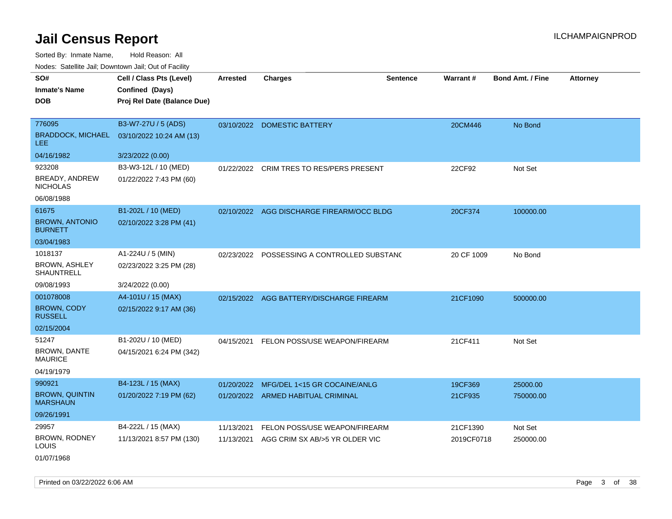Sorted By: Inmate Name, Hold Reason: All Nodes: Satellite Jail; Downtown Jail; Out of Facility

| SO#                                      | Cell / Class Pts (Level)    | <b>Arrested</b> | <b>Charges</b>                              | <b>Sentence</b> | <b>Warrant#</b> | <b>Bond Amt. / Fine</b> | Attorney |
|------------------------------------------|-----------------------------|-----------------|---------------------------------------------|-----------------|-----------------|-------------------------|----------|
| <b>Inmate's Name</b>                     | Confined (Days)             |                 |                                             |                 |                 |                         |          |
| <b>DOB</b>                               | Proj Rel Date (Balance Due) |                 |                                             |                 |                 |                         |          |
|                                          |                             |                 |                                             |                 |                 |                         |          |
| 776095                                   | B3-W7-27U / 5 (ADS)         |                 | 03/10/2022 DOMESTIC BATTERY                 |                 | 20CM446         | No Bond                 |          |
| <b>BRADDOCK, MICHAEL</b><br><b>LEE</b>   | 03/10/2022 10:24 AM (13)    |                 |                                             |                 |                 |                         |          |
| 04/16/1982                               | 3/23/2022 (0.00)            |                 |                                             |                 |                 |                         |          |
| 923208                                   | B3-W3-12L / 10 (MED)        | 01/22/2022      | CRIM TRES TO RES/PERS PRESENT               |                 | 22CF92          | Not Set                 |          |
| BREADY, ANDREW<br><b>NICHOLAS</b>        | 01/22/2022 7:43 PM (60)     |                 |                                             |                 |                 |                         |          |
| 06/08/1988                               |                             |                 |                                             |                 |                 |                         |          |
| 61675                                    | B1-202L / 10 (MED)          |                 | 02/10/2022 AGG DISCHARGE FIREARM/OCC BLDG   |                 | 20CF374         | 100000.00               |          |
| <b>BROWN, ANTONIO</b><br><b>BURNETT</b>  | 02/10/2022 3:28 PM (41)     |                 |                                             |                 |                 |                         |          |
| 03/04/1983                               |                             |                 |                                             |                 |                 |                         |          |
| 1018137                                  | A1-224U / 5 (MIN)           |                 | 02/23/2022 POSSESSING A CONTROLLED SUBSTANC |                 | 20 CF 1009      | No Bond                 |          |
| <b>BROWN, ASHLEY</b><br>SHAUNTRELL       | 02/23/2022 3:25 PM (28)     |                 |                                             |                 |                 |                         |          |
| 09/08/1993                               | 3/24/2022 (0.00)            |                 |                                             |                 |                 |                         |          |
| 001078008                                | A4-101U / 15 (MAX)          |                 | 02/15/2022 AGG BATTERY/DISCHARGE FIREARM    |                 | 21CF1090        | 500000.00               |          |
| <b>BROWN, CODY</b><br><b>RUSSELL</b>     | 02/15/2022 9:17 AM (36)     |                 |                                             |                 |                 |                         |          |
| 02/15/2004                               |                             |                 |                                             |                 |                 |                         |          |
| 51247                                    | B1-202U / 10 (MED)          | 04/15/2021      | FELON POSS/USE WEAPON/FIREARM               |                 | 21CF411         | Not Set                 |          |
| <b>BROWN, DANTE</b><br><b>MAURICE</b>    | 04/15/2021 6:24 PM (342)    |                 |                                             |                 |                 |                         |          |
| 04/19/1979                               |                             |                 |                                             |                 |                 |                         |          |
| 990921                                   | B4-123L / 15 (MAX)          | 01/20/2022      | MFG/DEL 1<15 GR COCAINE/ANLG                |                 | 19CF369         | 25000.00                |          |
| <b>BROWN, QUINTIN</b><br><b>MARSHAUN</b> | 01/20/2022 7:19 PM (62)     |                 | 01/20/2022 ARMED HABITUAL CRIMINAL          |                 | 21CF935         | 750000.00               |          |
| 09/26/1991                               |                             |                 |                                             |                 |                 |                         |          |
| 29957                                    | B4-222L / 15 (MAX)          | 11/13/2021      | FELON POSS/USE WEAPON/FIREARM               |                 | 21CF1390        | Not Set                 |          |
| BROWN, RODNEY<br>LOUIS                   | 11/13/2021 8:57 PM (130)    | 11/13/2021      | AGG CRIM SX AB/>5 YR OLDER VIC              |                 | 2019CF0718      | 250000.00               |          |
|                                          |                             |                 |                                             |                 |                 |                         |          |

01/07/1968

Printed on 03/22/2022 6:06 AM Page 3 of 38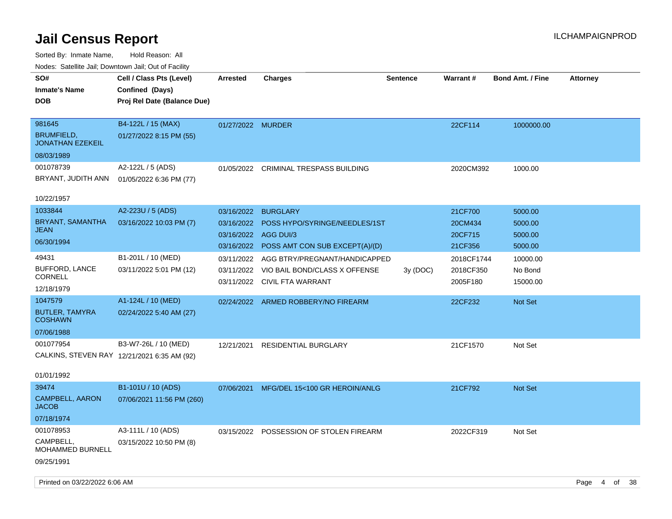| indues. Salenne Jan, Downlown Jan, Out of Facility |                             |                      |                                           |                 |                 |                         |                 |
|----------------------------------------------------|-----------------------------|----------------------|-------------------------------------------|-----------------|-----------------|-------------------------|-----------------|
| SO#                                                | Cell / Class Pts (Level)    | <b>Arrested</b>      | <b>Charges</b>                            | <b>Sentence</b> | <b>Warrant#</b> | <b>Bond Amt. / Fine</b> | <b>Attorney</b> |
| <b>Inmate's Name</b>                               | Confined (Days)             |                      |                                           |                 |                 |                         |                 |
| <b>DOB</b>                                         | Proj Rel Date (Balance Due) |                      |                                           |                 |                 |                         |                 |
|                                                    |                             |                      |                                           |                 |                 |                         |                 |
| 981645                                             | B4-122L / 15 (MAX)          | 01/27/2022 MURDER    |                                           |                 | 22CF114         | 1000000.00              |                 |
| <b>BRUMFIELD,</b><br><b>JONATHAN EZEKEIL</b>       | 01/27/2022 8:15 PM (55)     |                      |                                           |                 |                 |                         |                 |
| 08/03/1989                                         |                             |                      |                                           |                 |                 |                         |                 |
| 001078739                                          | A2-122L / 5 (ADS)           | 01/05/2022           | CRIMINAL TRESPASS BUILDING                |                 | 2020CM392       | 1000.00                 |                 |
| BRYANT, JUDITH ANN                                 | 01/05/2022 6:36 PM (77)     |                      |                                           |                 |                 |                         |                 |
|                                                    |                             |                      |                                           |                 |                 |                         |                 |
| 10/22/1957                                         |                             |                      |                                           |                 |                 |                         |                 |
| 1033844                                            | A2-223U / 5 (ADS)           | 03/16/2022           | <b>BURGLARY</b>                           |                 | 21CF700         | 5000.00                 |                 |
| BRYANT, SAMANTHA                                   | 03/16/2022 10:03 PM (7)     | 03/16/2022           | POSS HYPO/SYRINGE/NEEDLES/1ST             |                 | 20CM434         | 5000.00                 |                 |
| <b>JEAN</b>                                        |                             | 03/16/2022 AGG DUI/3 |                                           |                 | 20CF715         | 5000.00                 |                 |
| 06/30/1994                                         |                             |                      | 03/16/2022 POSS AMT CON SUB EXCEPT(A)/(D) |                 | 21CF356         | 5000.00                 |                 |
| 49431                                              | B1-201L / 10 (MED)          | 03/11/2022           | AGG BTRY/PREGNANT/HANDICAPPED             |                 | 2018CF1744      | 10000.00                |                 |
| <b>BUFFORD, LANCE</b>                              | 03/11/2022 5:01 PM (12)     | 03/11/2022           | VIO BAIL BOND/CLASS X OFFENSE             | 3y(DOC)         | 2018CF350       | No Bond                 |                 |
| <b>CORNELL</b>                                     |                             |                      | 03/11/2022 CIVIL FTA WARRANT              |                 | 2005F180        | 15000.00                |                 |
| 12/18/1979                                         |                             |                      |                                           |                 |                 |                         |                 |
| 1047579                                            | A1-124L / 10 (MED)          |                      | 02/24/2022 ARMED ROBBERY/NO FIREARM       |                 | 22CF232         | <b>Not Set</b>          |                 |
| <b>BUTLER, TAMYRA</b><br><b>COSHAWN</b>            | 02/24/2022 5:40 AM (27)     |                      |                                           |                 |                 |                         |                 |
| 07/06/1988                                         |                             |                      |                                           |                 |                 |                         |                 |
| 001077954                                          | B3-W7-26L / 10 (MED)        | 12/21/2021           | <b>RESIDENTIAL BURGLARY</b>               |                 | 21CF1570        | Not Set                 |                 |
| CALKINS, STEVEN RAY 12/21/2021 6:35 AM (92)        |                             |                      |                                           |                 |                 |                         |                 |
|                                                    |                             |                      |                                           |                 |                 |                         |                 |
| 01/01/1992                                         |                             |                      |                                           |                 |                 |                         |                 |
| 39474                                              | B1-101U / 10 (ADS)          | 07/06/2021           | MFG/DEL 15<100 GR HEROIN/ANLG             |                 | 21CF792         | Not Set                 |                 |
| CAMPBELL, AARON<br><b>JACOB</b>                    | 07/06/2021 11:56 PM (260)   |                      |                                           |                 |                 |                         |                 |
| 07/18/1974                                         |                             |                      |                                           |                 |                 |                         |                 |
| 001078953                                          | A3-111L / 10 (ADS)          |                      | 03/15/2022 POSSESSION OF STOLEN FIREARM   |                 | 2022CF319       | Not Set                 |                 |
| CAMPBELL,<br><b>MOHAMMED BURNELL</b>               | 03/15/2022 10:50 PM (8)     |                      |                                           |                 |                 |                         |                 |
| 09/25/1991                                         |                             |                      |                                           |                 |                 |                         |                 |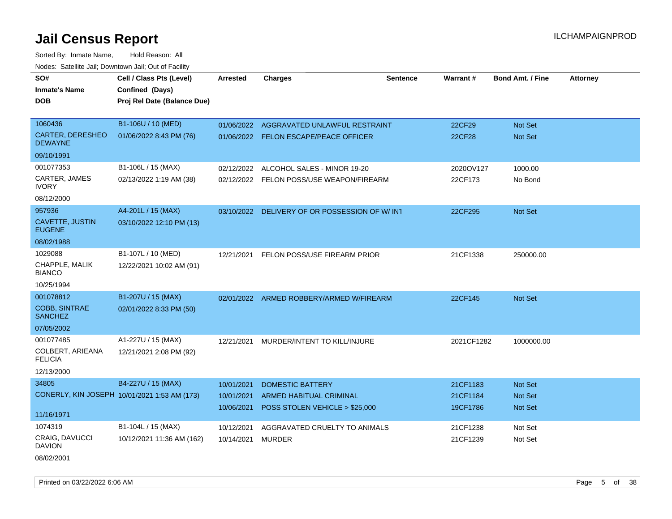Sorted By: Inmate Name, Hold Reason: All Nodes: Satellite Jail; Downtown Jail; Out of Facility

| SO#                                       | Cell / Class Pts (Level)                     | <b>Arrested</b>   | <b>Charges</b>                                | <b>Sentence</b> | <b>Warrant#</b> | <b>Bond Amt. / Fine</b> | <b>Attorney</b> |
|-------------------------------------------|----------------------------------------------|-------------------|-----------------------------------------------|-----------------|-----------------|-------------------------|-----------------|
| <b>Inmate's Name</b>                      | Confined (Days)                              |                   |                                               |                 |                 |                         |                 |
| <b>DOB</b>                                | Proj Rel Date (Balance Due)                  |                   |                                               |                 |                 |                         |                 |
|                                           |                                              |                   |                                               |                 |                 |                         |                 |
| 1060436                                   | B1-106U / 10 (MED)                           | 01/06/2022        | AGGRAVATED UNLAWFUL RESTRAINT                 |                 | 22CF29          | Not Set                 |                 |
| <b>CARTER, DERESHEO</b><br><b>DEWAYNE</b> | 01/06/2022 8:43 PM (76)                      |                   | 01/06/2022 FELON ESCAPE/PEACE OFFICER         |                 | <b>22CF28</b>   | Not Set                 |                 |
| 09/10/1991                                |                                              |                   |                                               |                 |                 |                         |                 |
| 001077353                                 | B1-106L / 15 (MAX)                           | 02/12/2022        | ALCOHOL SALES - MINOR 19-20                   |                 | 2020OV127       | 1000.00                 |                 |
| CARTER, JAMES<br><b>IVORY</b>             | 02/13/2022 1:19 AM (38)                      |                   | 02/12/2022 FELON POSS/USE WEAPON/FIREARM      |                 | 22CF173         | No Bond                 |                 |
| 08/12/2000                                |                                              |                   |                                               |                 |                 |                         |                 |
| 957936                                    | A4-201L / 15 (MAX)                           |                   | 03/10/2022 DELIVERY OF OR POSSESSION OF W/IN1 |                 | 22CF295         | Not Set                 |                 |
| CAVETTE, JUSTIN<br><b>EUGENE</b>          | 03/10/2022 12:10 PM (13)                     |                   |                                               |                 |                 |                         |                 |
| 08/02/1988                                |                                              |                   |                                               |                 |                 |                         |                 |
| 1029088                                   | B1-107L / 10 (MED)                           |                   | 12/21/2021 FELON POSS/USE FIREARM PRIOR       |                 | 21CF1338        | 250000.00               |                 |
| CHAPPLE, MALIK<br><b>BIANCO</b>           | 12/22/2021 10:02 AM (91)                     |                   |                                               |                 |                 |                         |                 |
| 10/25/1994                                |                                              |                   |                                               |                 |                 |                         |                 |
| 001078812                                 | B1-207U / 15 (MAX)                           |                   | 02/01/2022 ARMED ROBBERY/ARMED W/FIREARM      |                 | 22CF145         | Not Set                 |                 |
| <b>COBB, SINTRAE</b><br><b>SANCHEZ</b>    | 02/01/2022 8:33 PM (50)                      |                   |                                               |                 |                 |                         |                 |
| 07/05/2002                                |                                              |                   |                                               |                 |                 |                         |                 |
| 001077485                                 | A1-227U / 15 (MAX)                           |                   | 12/21/2021 MURDER/INTENT TO KILL/INJURE       |                 | 2021CF1282      | 1000000.00              |                 |
| COLBERT, ARIEANA<br><b>FELICIA</b>        | 12/21/2021 2:08 PM (92)                      |                   |                                               |                 |                 |                         |                 |
| 12/13/2000                                |                                              |                   |                                               |                 |                 |                         |                 |
| 34805                                     | B4-227U / 15 (MAX)                           | 10/01/2021        | <b>DOMESTIC BATTERY</b>                       |                 | 21CF1183        | <b>Not Set</b>          |                 |
|                                           | CONERLY, KIN JOSEPH 10/01/2021 1:53 AM (173) | 10/01/2021        | <b>ARMED HABITUAL CRIMINAL</b>                |                 | 21CF1184        | Not Set                 |                 |
| 11/16/1971                                |                                              | 10/06/2021        | POSS STOLEN VEHICLE > \$25,000                |                 | 19CF1786        | Not Set                 |                 |
| 1074319                                   | B1-104L / 15 (MAX)                           | 10/12/2021        | AGGRAVATED CRUELTY TO ANIMALS                 |                 | 21CF1238        | Not Set                 |                 |
| <b>CRAIG, DAVUCCI</b><br><b>DAVION</b>    | 10/12/2021 11:36 AM (162)                    | 10/14/2021 MURDER |                                               |                 | 21CF1239        | Not Set                 |                 |
| 08/02/2001                                |                                              |                   |                                               |                 |                 |                         |                 |

Printed on 03/22/2022 6:06 AM Page 5 of 38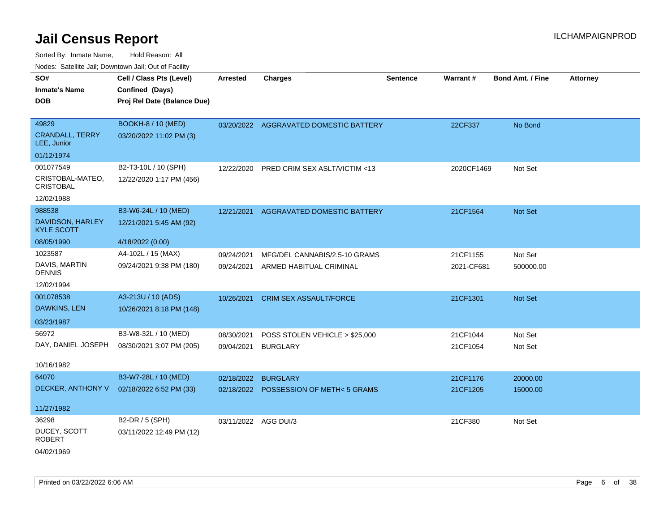Sorted By: Inmate Name, Hold Reason: All Nodes: Satellite Jail; Downtown Jail; Out of Facility

| roaco. Catolino cali, Downtown cali, Out of Facility |                             |                      |                                        |                 |            |                         |                 |
|------------------------------------------------------|-----------------------------|----------------------|----------------------------------------|-----------------|------------|-------------------------|-----------------|
| SO#                                                  | Cell / Class Pts (Level)    | <b>Arrested</b>      | <b>Charges</b>                         | <b>Sentence</b> | Warrant#   | <b>Bond Amt. / Fine</b> | <b>Attorney</b> |
| <b>Inmate's Name</b>                                 | Confined (Days)             |                      |                                        |                 |            |                         |                 |
| DOB                                                  | Proj Rel Date (Balance Due) |                      |                                        |                 |            |                         |                 |
|                                                      |                             |                      |                                        |                 |            |                         |                 |
| 49829                                                | <b>BOOKH-8 / 10 (MED)</b>   |                      | 03/20/2022 AGGRAVATED DOMESTIC BATTERY |                 | 22CF337    | No Bond                 |                 |
| <b>CRANDALL, TERRY</b><br>LEE, Junior                | 03/20/2022 11:02 PM (3)     |                      |                                        |                 |            |                         |                 |
| 01/12/1974                                           |                             |                      |                                        |                 |            |                         |                 |
| 001077549                                            | B2-T3-10L / 10 (SPH)        | 12/22/2020           | PRED CRIM SEX ASLT/VICTIM <13          |                 | 2020CF1469 | Not Set                 |                 |
| CRISTOBAL-MATEO,<br><b>CRISTOBAL</b>                 | 12/22/2020 1:17 PM (456)    |                      |                                        |                 |            |                         |                 |
| 12/02/1988                                           |                             |                      |                                        |                 |            |                         |                 |
| 988538                                               | B3-W6-24L / 10 (MED)        | 12/21/2021           | AGGRAVATED DOMESTIC BATTERY            |                 | 21CF1564   | Not Set                 |                 |
| DAVIDSON, HARLEY<br><b>KYLE SCOTT</b>                | 12/21/2021 5:45 AM (92)     |                      |                                        |                 |            |                         |                 |
| 08/05/1990                                           | 4/18/2022 (0.00)            |                      |                                        |                 |            |                         |                 |
| 1023587                                              | A4-102L / 15 (MAX)          | 09/24/2021           | MFG/DEL CANNABIS/2.5-10 GRAMS          |                 | 21CF1155   | Not Set                 |                 |
| DAVIS, MARTIN<br><b>DENNIS</b>                       | 09/24/2021 9:38 PM (180)    | 09/24/2021           | ARMED HABITUAL CRIMINAL                |                 | 2021-CF681 | 500000.00               |                 |
| 12/02/1994                                           |                             |                      |                                        |                 |            |                         |                 |
| 001078538                                            | A3-213U / 10 (ADS)          | 10/26/2021           | <b>CRIM SEX ASSAULT/FORCE</b>          |                 | 21CF1301   | Not Set                 |                 |
| DAWKINS, LEN                                         | 10/26/2021 8:18 PM (148)    |                      |                                        |                 |            |                         |                 |
| 03/23/1987                                           |                             |                      |                                        |                 |            |                         |                 |
| 56972                                                | B3-W8-32L / 10 (MED)        | 08/30/2021           | POSS STOLEN VEHICLE > \$25,000         |                 | 21CF1044   | Not Set                 |                 |
| DAY, DANIEL JOSEPH                                   | 08/30/2021 3:07 PM (205)    | 09/04/2021           | <b>BURGLARY</b>                        |                 | 21CF1054   | Not Set                 |                 |
|                                                      |                             |                      |                                        |                 |            |                         |                 |
| 10/16/1982                                           |                             |                      |                                        |                 |            |                         |                 |
| 64070                                                | B3-W7-28L / 10 (MED)        | 02/18/2022           | <b>BURGLARY</b>                        |                 | 21CF1176   | 20000.00                |                 |
| DECKER, ANTHONY V                                    | 02/18/2022 6:52 PM (33)     |                      | 02/18/2022 POSSESSION OF METH<5 GRAMS  |                 | 21CF1205   | 15000.00                |                 |
| 11/27/1982                                           |                             |                      |                                        |                 |            |                         |                 |
| 36298                                                | B2-DR / 5 (SPH)             | 03/11/2022 AGG DUI/3 |                                        |                 | 21CF380    | Not Set                 |                 |
| DUCEY, SCOTT<br><b>ROBERT</b>                        | 03/11/2022 12:49 PM (12)    |                      |                                        |                 |            |                         |                 |
|                                                      |                             |                      |                                        |                 |            |                         |                 |

04/02/1969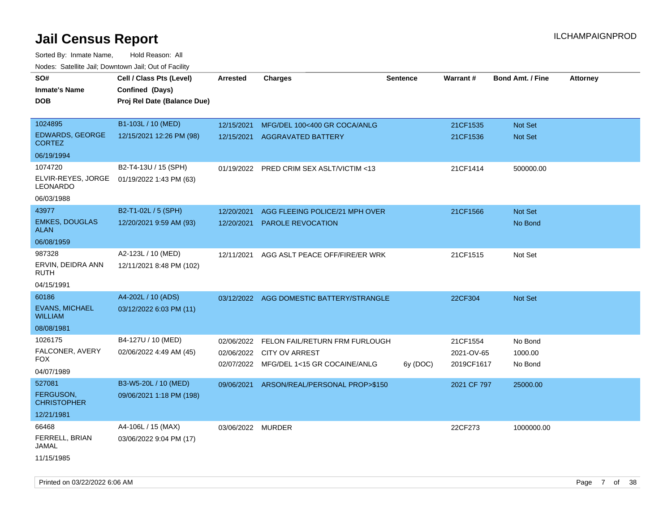| Todoo. Catolino can, Bowritown can, Oat or Fability |                                                                            |                          |                                                    |                 |                      |                         |                 |
|-----------------------------------------------------|----------------------------------------------------------------------------|--------------------------|----------------------------------------------------|-----------------|----------------------|-------------------------|-----------------|
| SO#<br><b>Inmate's Name</b><br><b>DOB</b>           | Cell / Class Pts (Level)<br>Confined (Days)<br>Proj Rel Date (Balance Due) | <b>Arrested</b>          | <b>Charges</b>                                     | <b>Sentence</b> | Warrant#             | <b>Bond Amt. / Fine</b> | <b>Attorney</b> |
| 1024895<br><b>EDWARDS, GEORGE</b>                   | B1-103L / 10 (MED)<br>12/15/2021 12:26 PM (98)                             | 12/15/2021<br>12/15/2021 | MFG/DEL 100<400 GR COCA/ANLG<br>AGGRAVATED BATTERY |                 | 21CF1535<br>21CF1536 | Not Set<br>Not Set      |                 |
| <b>CORTEZ</b>                                       |                                                                            |                          |                                                    |                 |                      |                         |                 |
| 06/19/1994                                          |                                                                            |                          |                                                    |                 |                      |                         |                 |
| 1074720<br>ELVIR-REYES, JORGE<br><b>LEONARDO</b>    | B2-T4-13U / 15 (SPH)<br>01/19/2022 1:43 PM (63)                            |                          | 01/19/2022 PRED CRIM SEX ASLT/VICTIM <13           |                 | 21CF1414             | 500000.00               |                 |
| 06/03/1988                                          |                                                                            |                          |                                                    |                 |                      |                         |                 |
| 43977                                               | B2-T1-02L / 5 (SPH)                                                        | 12/20/2021               | AGG FLEEING POLICE/21 MPH OVER                     |                 | 21CF1566             | Not Set                 |                 |
| <b>EMKES, DOUGLAS</b><br><b>ALAN</b>                | 12/20/2021 9:59 AM (93)                                                    | 12/20/2021               | <b>PAROLE REVOCATION</b>                           |                 |                      | No Bond                 |                 |
| 06/08/1959                                          |                                                                            |                          |                                                    |                 |                      |                         |                 |
| 987328<br>ERVIN, DEIDRA ANN<br><b>RUTH</b>          | A2-123L / 10 (MED)<br>12/11/2021 8:48 PM (102)                             | 12/11/2021               | AGG ASLT PEACE OFF/FIRE/ER WRK                     |                 | 21CF1515             | Not Set                 |                 |
| 04/15/1991                                          |                                                                            |                          |                                                    |                 |                      |                         |                 |
| 60186                                               | A4-202L / 10 (ADS)                                                         |                          | 03/12/2022 AGG DOMESTIC BATTERY/STRANGLE           |                 | 22CF304              | <b>Not Set</b>          |                 |
| <b>EVANS, MICHAEL</b><br><b>WILLIAM</b>             | 03/12/2022 6:03 PM (11)                                                    |                          |                                                    |                 |                      |                         |                 |
| 08/08/1981                                          |                                                                            |                          |                                                    |                 |                      |                         |                 |
| 1026175                                             | B4-127U / 10 (MED)                                                         | 02/06/2022               | FELON FAIL/RETURN FRM FURLOUGH                     |                 | 21CF1554             | No Bond                 |                 |
| FALCONER, AVERY                                     | 02/06/2022 4:49 AM (45)                                                    | 02/06/2022               | <b>CITY OV ARREST</b>                              |                 | 2021-OV-65           | 1000.00                 |                 |
| <b>FOX</b>                                          |                                                                            | 02/07/2022               | MFG/DEL 1<15 GR COCAINE/ANLG                       | 6y (DOC)        | 2019CF1617           | No Bond                 |                 |
| 04/07/1989                                          |                                                                            |                          |                                                    |                 |                      |                         |                 |
| 527081                                              | B3-W5-20L / 10 (MED)                                                       | 09/06/2021               | ARSON/REAL/PERSONAL PROP>\$150                     |                 | 2021 CF 797          | 25000.00                |                 |
| <b>FERGUSON,</b><br><b>CHRISTOPHER</b>              | 09/06/2021 1:18 PM (198)                                                   |                          |                                                    |                 |                      |                         |                 |
| 12/21/1981                                          |                                                                            |                          |                                                    |                 |                      |                         |                 |
| 66468                                               | A4-106L / 15 (MAX)                                                         | 03/06/2022 MURDER        |                                                    |                 | 22CF273              | 1000000.00              |                 |
| FERRELL, BRIAN<br>JAMAL                             | 03/06/2022 9:04 PM (17)                                                    |                          |                                                    |                 |                      |                         |                 |
| 11/15/1985                                          |                                                                            |                          |                                                    |                 |                      |                         |                 |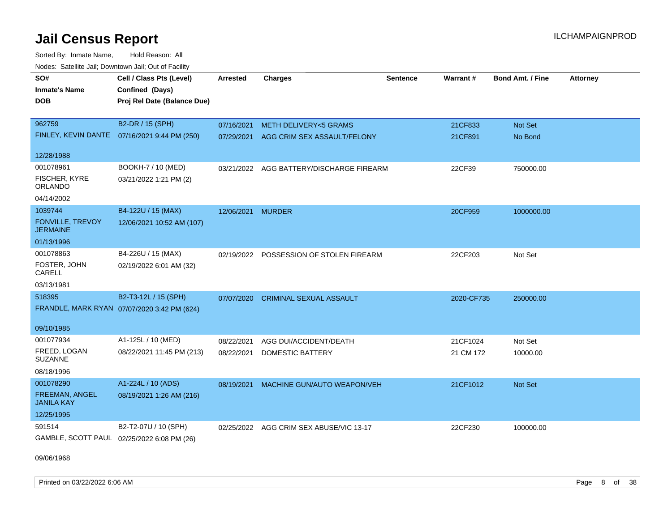Sorted By: Inmate Name, Hold Reason: All Nodes: Satellite Jail; Downtown Jail; Out of Facility

| SO#                                        | Cell / Class Pts (Level)                      | <b>Arrested</b> | <b>Charges</b>                           | <b>Sentence</b> | Warrant#   | <b>Bond Amt. / Fine</b> | <b>Attorney</b> |
|--------------------------------------------|-----------------------------------------------|-----------------|------------------------------------------|-----------------|------------|-------------------------|-----------------|
| <b>Inmate's Name</b>                       | Confined (Days)                               |                 |                                          |                 |            |                         |                 |
| <b>DOB</b>                                 | Proj Rel Date (Balance Due)                   |                 |                                          |                 |            |                         |                 |
|                                            |                                               |                 |                                          |                 |            |                         |                 |
| 962759                                     | B2-DR / 15 (SPH)                              | 07/16/2021      | <b>METH DELIVERY&lt;5 GRAMS</b>          |                 | 21CF833    | Not Set                 |                 |
|                                            | FINLEY, KEVIN DANTE  07/16/2021 9:44 PM (250) | 07/29/2021      | AGG CRIM SEX ASSAULT/FELONY              |                 | 21CF891    | No Bond                 |                 |
| 12/28/1988                                 |                                               |                 |                                          |                 |            |                         |                 |
| 001078961                                  | BOOKH-7 / 10 (MED)                            |                 | 03/21/2022 AGG BATTERY/DISCHARGE FIREARM |                 | 22CF39     | 750000.00               |                 |
| FISCHER, KYRE<br>ORLANDO                   | 03/21/2022 1:21 PM (2)                        |                 |                                          |                 |            |                         |                 |
| 04/14/2002                                 |                                               |                 |                                          |                 |            |                         |                 |
| 1039744                                    | B4-122U / 15 (MAX)                            | 12/06/2021      | <b>MURDER</b>                            |                 | 20CF959    | 1000000.00              |                 |
| <b>FONVILLE, TREVOY</b><br><b>JERMAINE</b> | 12/06/2021 10:52 AM (107)                     |                 |                                          |                 |            |                         |                 |
| 01/13/1996                                 |                                               |                 |                                          |                 |            |                         |                 |
| 001078863                                  | B4-226U / 15 (MAX)                            | 02/19/2022      | POSSESSION OF STOLEN FIREARM             |                 | 22CF203    | Not Set                 |                 |
| FOSTER, JOHN<br>CARELL                     | 02/19/2022 6:01 AM (32)                       |                 |                                          |                 |            |                         |                 |
| 03/13/1981                                 |                                               |                 |                                          |                 |            |                         |                 |
| 518395                                     | B2-T3-12L / 15 (SPH)                          | 07/07/2020      | <b>CRIMINAL SEXUAL ASSAULT</b>           |                 | 2020-CF735 | 250000.00               |                 |
|                                            | FRANDLE, MARK RYAN 07/07/2020 3:42 PM (624)   |                 |                                          |                 |            |                         |                 |
| 09/10/1985                                 |                                               |                 |                                          |                 |            |                         |                 |
| 001077934                                  | A1-125L / 10 (MED)                            | 08/22/2021      | AGG DUI/ACCIDENT/DEATH                   |                 | 21CF1024   | Not Set                 |                 |
| FREED, LOGAN<br><b>SUZANNE</b>             | 08/22/2021 11:45 PM (213)                     | 08/22/2021      | <b>DOMESTIC BATTERY</b>                  |                 | 21 CM 172  | 10000.00                |                 |
| 08/18/1996                                 |                                               |                 |                                          |                 |            |                         |                 |
| 001078290                                  | A1-224L / 10 (ADS)                            | 08/19/2021      | MACHINE GUN/AUTO WEAPON/VEH              |                 | 21CF1012   | Not Set                 |                 |
| FREEMAN, ANGEL<br><b>JANILA KAY</b>        | 08/19/2021 1:26 AM (216)                      |                 |                                          |                 |            |                         |                 |
| 12/25/1995                                 |                                               |                 |                                          |                 |            |                         |                 |
| 591514                                     | B2-T2-07U / 10 (SPH)                          | 02/25/2022      | AGG CRIM SEX ABUSE/VIC 13-17             |                 | 22CF230    | 100000.00               |                 |
| GAMBLE, SCOTT PAUL 02/25/2022 6:08 PM (26) |                                               |                 |                                          |                 |            |                         |                 |

09/06/1968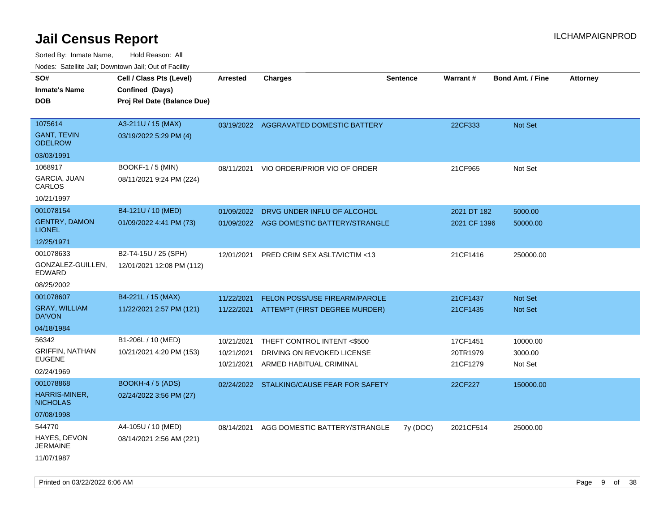| rouco. Calcinic Jan, Downtown Jan, Out of Facility                   |                                                                            |                                        |                                                                                      |                 |                                  |                                  |                 |
|----------------------------------------------------------------------|----------------------------------------------------------------------------|----------------------------------------|--------------------------------------------------------------------------------------|-----------------|----------------------------------|----------------------------------|-----------------|
| SO#<br>Inmate's Name<br><b>DOB</b>                                   | Cell / Class Pts (Level)<br>Confined (Days)<br>Proj Rel Date (Balance Due) | <b>Arrested</b>                        | <b>Charges</b>                                                                       | <b>Sentence</b> | <b>Warrant#</b>                  | <b>Bond Amt. / Fine</b>          | <b>Attorney</b> |
| 1075614<br><b>GANT, TEVIN</b><br><b>ODELROW</b>                      | A3-211U / 15 (MAX)<br>03/19/2022 5:29 PM (4)                               |                                        | 03/19/2022 AGGRAVATED DOMESTIC BATTERY                                               |                 | 22CF333                          | Not Set                          |                 |
| 03/03/1991<br>1068917<br><b>GARCIA, JUAN</b><br>CARLOS<br>10/21/1997 | BOOKF-1 / 5 (MIN)<br>08/11/2021 9:24 PM (224)                              | 08/11/2021                             | VIO ORDER/PRIOR VIO OF ORDER                                                         |                 | 21CF965                          | Not Set                          |                 |
| 001078154<br><b>GENTRY, DAMON</b><br><b>LIONEL</b><br>12/25/1971     | B4-121U / 10 (MED)<br>01/09/2022 4:41 PM (73)                              | 01/09/2022<br>01/09/2022               | DRVG UNDER INFLU OF ALCOHOL<br>AGG DOMESTIC BATTERY/STRANGLE                         |                 | 2021 DT 182<br>2021 CF 1396      | 5000.00<br>50000.00              |                 |
| 001078633<br>GONZALEZ-GUILLEN.<br>EDWARD<br>08/25/2002               | B2-T4-15U / 25 (SPH)<br>12/01/2021 12:08 PM (112)                          | 12/01/2021                             | <b>PRED CRIM SEX ASLT/VICTIM &lt;13</b>                                              |                 | 21CF1416                         | 250000.00                        |                 |
| 001078607<br><b>GRAY, WILLIAM</b><br>DA'VON<br>04/18/1984            | B4-221L / 15 (MAX)<br>11/22/2021 2:57 PM (121)                             | 11/22/2021                             | <b>FELON POSS/USE FIREARM/PAROLE</b><br>11/22/2021 ATTEMPT (FIRST DEGREE MURDER)     |                 | 21CF1437<br>21CF1435             | <b>Not Set</b><br><b>Not Set</b> |                 |
| 56342<br>GRIFFIN, NATHAN<br>EUGENE<br>02/24/1969                     | B1-206L / 10 (MED)<br>10/21/2021 4:20 PM (153)                             | 10/21/2021<br>10/21/2021<br>10/21/2021 | THEFT CONTROL INTENT <\$500<br>DRIVING ON REVOKED LICENSE<br>ARMED HABITUAL CRIMINAL |                 | 17CF1451<br>20TR1979<br>21CF1279 | 10000.00<br>3000.00<br>Not Set   |                 |
| 001078868<br>HARRIS-MINER,<br><b>NICHOLAS</b><br>07/08/1998          | <b>BOOKH-4 / 5 (ADS)</b><br>02/24/2022 3:56 PM (27)                        |                                        | 02/24/2022 STALKING/CAUSE FEAR FOR SAFETY                                            |                 | 22CF227                          | 150000.00                        |                 |
| 544770<br>HAYES, DEVON<br>JERMAINE<br>11/07/1987                     | A4-105U / 10 (MED)<br>08/14/2021 2:56 AM (221)                             | 08/14/2021                             | AGG DOMESTIC BATTERY/STRANGLE                                                        | 7y (DOC)        | 2021CF514                        | 25000.00                         |                 |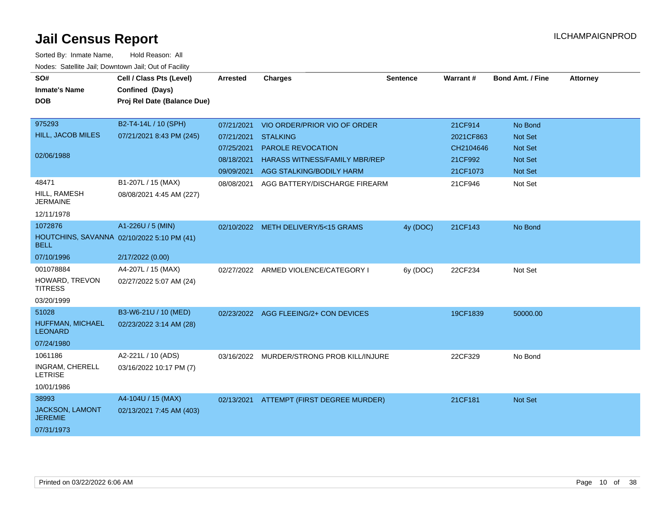| SO#<br><b>Inmate's Name</b><br><b>DOB</b>                 | Cell / Class Pts (Level)<br>Confined (Days)<br>Proj Rel Date (Balance Due) | Arrested   | <b>Charges</b>                        | <b>Sentence</b> | <b>Warrant#</b> | <b>Bond Amt. / Fine</b> | <b>Attorney</b> |
|-----------------------------------------------------------|----------------------------------------------------------------------------|------------|---------------------------------------|-----------------|-----------------|-------------------------|-----------------|
| 975293                                                    | B2-T4-14L / 10 (SPH)                                                       | 07/21/2021 | VIO ORDER/PRIOR VIO OF ORDER          |                 | 21CF914         | No Bond                 |                 |
| HILL, JACOB MILES                                         | 07/21/2021 8:43 PM (245)                                                   | 07/21/2021 | <b>STALKING</b>                       |                 | 2021CF863       | <b>Not Set</b>          |                 |
| 02/06/1988                                                |                                                                            | 07/25/2021 | PAROLE REVOCATION                     |                 | CH2104646       | <b>Not Set</b>          |                 |
|                                                           |                                                                            | 08/18/2021 | HARASS WITNESS/FAMILY MBR/REP         |                 | 21CF992         | Not Set                 |                 |
|                                                           |                                                                            | 09/09/2021 | AGG STALKING/BODILY HARM              |                 | 21CF1073        | Not Set                 |                 |
| 48471<br>HILL, RAMESH<br><b>JERMAINE</b>                  | B1-207L / 15 (MAX)<br>08/08/2021 4:45 AM (227)                             | 08/08/2021 | AGG BATTERY/DISCHARGE FIREARM         |                 | 21CF946         | Not Set                 |                 |
| 12/11/1978                                                |                                                                            |            |                                       |                 |                 |                         |                 |
| 1072876                                                   | A1-226U / 5 (MIN)                                                          |            | 02/10/2022 METH DELIVERY/5<15 GRAMS   | 4y (DOC)        | 21CF143         | No Bond                 |                 |
| HOUTCHINS, SAVANNA 02/10/2022 5:10 PM (41)<br><b>BELL</b> |                                                                            |            |                                       |                 |                 |                         |                 |
| 07/10/1996                                                | 2/17/2022 (0.00)                                                           |            |                                       |                 |                 |                         |                 |
| 001078884                                                 | A4-207L / 15 (MAX)                                                         |            | 02/27/2022 ARMED VIOLENCE/CATEGORY I  | 6y (DOC)        | 22CF234         | Not Set                 |                 |
| HOWARD, TREVON<br><b>TITRESS</b>                          | 02/27/2022 5:07 AM (24)                                                    |            |                                       |                 |                 |                         |                 |
| 03/20/1999                                                |                                                                            |            |                                       |                 |                 |                         |                 |
| 51028                                                     | B3-W6-21U / 10 (MED)                                                       |            | 02/23/2022 AGG FLEEING/2+ CON DEVICES |                 | 19CF1839        | 50000.00                |                 |
| HUFFMAN, MICHAEL<br><b>LEONARD</b>                        | 02/23/2022 3:14 AM (28)                                                    |            |                                       |                 |                 |                         |                 |
| 07/24/1980                                                |                                                                            |            |                                       |                 |                 |                         |                 |
| 1061186<br><b>INGRAM, CHERELL</b><br><b>LETRISE</b>       | A2-221L / 10 (ADS)<br>03/16/2022 10:17 PM (7)                              | 03/16/2022 | MURDER/STRONG PROB KILL/INJURE        |                 | 22CF329         | No Bond                 |                 |
| 10/01/1986                                                |                                                                            |            |                                       |                 |                 |                         |                 |
| 38993                                                     | A4-104U / 15 (MAX)                                                         | 02/13/2021 | ATTEMPT (FIRST DEGREE MURDER)         |                 | 21CF181         | Not Set                 |                 |
| <b>JACKSON, LAMONT</b><br><b>JEREMIE</b>                  | 02/13/2021 7:45 AM (403)                                                   |            |                                       |                 |                 |                         |                 |
| 07/31/1973                                                |                                                                            |            |                                       |                 |                 |                         |                 |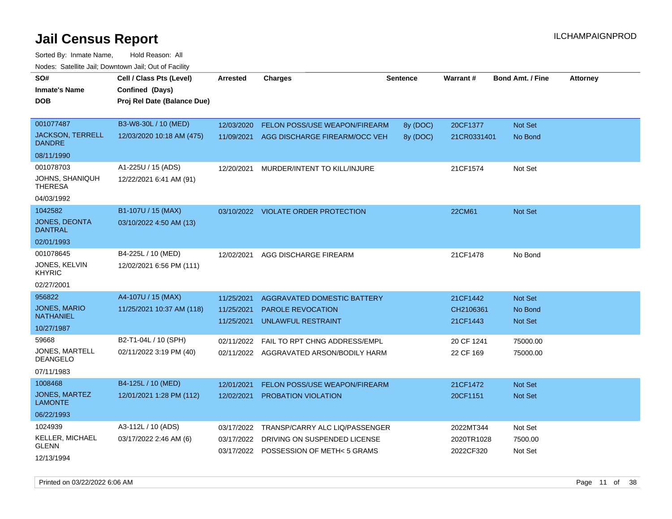Sorted By: Inmate Name, Hold Reason: All Nodes: Satellite Jail; Downtown Jail; Out of Facility

| SO#                                      | Cell / Class Pts (Level)                       | <b>Arrested</b>          | <b>Charges</b>                                                         | <b>Sentence</b> | Warrant#                | <b>Bond Amt. / Fine</b>   | <b>Attorney</b> |
|------------------------------------------|------------------------------------------------|--------------------------|------------------------------------------------------------------------|-----------------|-------------------------|---------------------------|-----------------|
| <b>Inmate's Name</b><br><b>DOB</b>       | Confined (Days)<br>Proj Rel Date (Balance Due) |                          |                                                                        |                 |                         |                           |                 |
|                                          |                                                |                          |                                                                        |                 |                         |                           |                 |
| 001077487                                | B3-W8-30L / 10 (MED)                           | 12/03/2020               | <b>FELON POSS/USE WEAPON/FIREARM</b>                                   | 8y (DOC)        | 20CF1377                | Not Set                   |                 |
| <b>JACKSON, TERRELL</b><br><b>DANDRE</b> | 12/03/2020 10:18 AM (475)                      | 11/09/2021               | AGG DISCHARGE FIREARM/OCC VEH                                          | 8y (DOC)        | 21CR0331401             | No Bond                   |                 |
| 08/11/1990                               |                                                |                          |                                                                        |                 |                         |                           |                 |
| 001078703                                | A1-225U / 15 (ADS)                             | 12/20/2021               | MURDER/INTENT TO KILL/INJURE                                           |                 | 21CF1574                | Not Set                   |                 |
| JOHNS, SHANIQUH<br><b>THERESA</b>        | 12/22/2021 6:41 AM (91)                        |                          |                                                                        |                 |                         |                           |                 |
| 04/03/1992                               |                                                |                          |                                                                        |                 |                         |                           |                 |
| 1042582                                  | B1-107U / 15 (MAX)                             |                          | 03/10/2022 VIOLATE ORDER PROTECTION                                    |                 | 22CM61                  | Not Set                   |                 |
| <b>JONES, DEONTA</b><br><b>DANTRAL</b>   | 03/10/2022 4:50 AM (13)                        |                          |                                                                        |                 |                         |                           |                 |
| 02/01/1993                               |                                                |                          |                                                                        |                 |                         |                           |                 |
| 001078645                                | B4-225L / 10 (MED)                             | 12/02/2021               | AGG DISCHARGE FIREARM                                                  |                 | 21CF1478                | No Bond                   |                 |
| JONES, KELVIN<br><b>KHYRIC</b>           | 12/02/2021 6:56 PM (111)                       |                          |                                                                        |                 |                         |                           |                 |
| 02/27/2001                               |                                                |                          |                                                                        |                 |                         |                           |                 |
| 956822                                   | A4-107U / 15 (MAX)                             | 11/25/2021               | AGGRAVATED DOMESTIC BATTERY                                            |                 | 21CF1442                | <b>Not Set</b>            |                 |
| <b>JONES, MARIO</b><br><b>NATHANIEL</b>  | 11/25/2021 10:37 AM (118)                      | 11/25/2021<br>11/25/2021 | <b>PAROLE REVOCATION</b><br>UNLAWFUL RESTRAINT                         |                 | CH2106361<br>21CF1443   | No Bond<br><b>Not Set</b> |                 |
| 10/27/1987                               |                                                |                          |                                                                        |                 |                         |                           |                 |
| 59668                                    | B2-T1-04L / 10 (SPH)                           | 02/11/2022               | FAIL TO RPT CHNG ADDRESS/EMPL                                          |                 | 20 CF 1241              | 75000.00                  |                 |
| <b>JONES, MARTELL</b><br><b>DEANGELO</b> | 02/11/2022 3:19 PM (40)                        |                          | 02/11/2022 AGGRAVATED ARSON/BODILY HARM                                |                 | 22 CF 169               | 75000.00                  |                 |
| 07/11/1983                               |                                                |                          |                                                                        |                 |                         |                           |                 |
| 1008468                                  | B4-125L / 10 (MED)                             | 12/01/2021               | FELON POSS/USE WEAPON/FIREARM                                          |                 | 21CF1472                | <b>Not Set</b>            |                 |
| <b>JONES, MARTEZ</b><br><b>LAMONTE</b>   | 12/01/2021 1:28 PM (112)                       | 12/02/2021               | PROBATION VIOLATION                                                    |                 | 20CF1151                | <b>Not Set</b>            |                 |
| 06/22/1993                               |                                                |                          |                                                                        |                 |                         |                           |                 |
| 1024939                                  | A3-112L / 10 (ADS)                             | 03/17/2022               | TRANSP/CARRY ALC LIQ/PASSENGER                                         |                 | 2022MT344               | Not Set                   |                 |
| <b>KELLER, MICHAEL</b><br><b>GLENN</b>   | 03/17/2022 2:46 AM (6)                         | 03/17/2022               | DRIVING ON SUSPENDED LICENSE<br>03/17/2022 POSSESSION OF METH< 5 GRAMS |                 | 2020TR1028<br>2022CF320 | 7500.00<br>Not Set        |                 |
| 12/13/1994                               |                                                |                          |                                                                        |                 |                         |                           |                 |

Printed on 03/22/2022 6:06 AM Page 11 of 38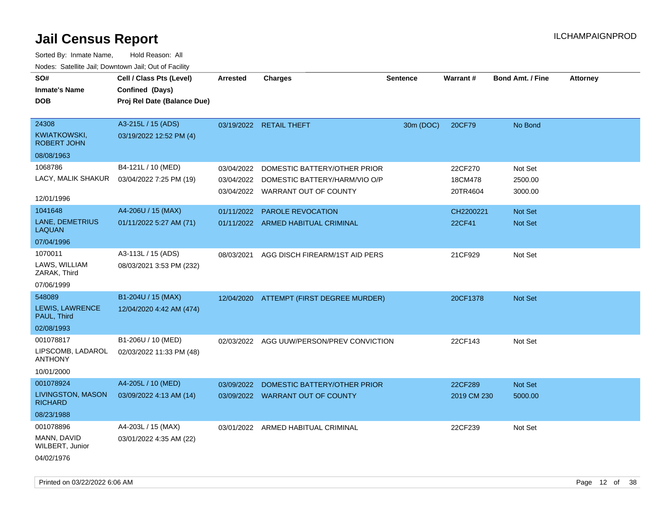| SO#<br><b>Inmate's Name</b><br><b>DOB</b>                        | Cell / Class Pts (Level)<br>Confined (Days)<br>Proj Rel Date (Balance Due) | <b>Arrested</b>                        | <b>Charges</b>                                                                         | <b>Sentence</b> | <b>Warrant#</b>                | <b>Bond Amt. / Fine</b>       | <b>Attorney</b> |
|------------------------------------------------------------------|----------------------------------------------------------------------------|----------------------------------------|----------------------------------------------------------------------------------------|-----------------|--------------------------------|-------------------------------|-----------------|
| 24308<br><b>KWIATKOWSKI,</b><br><b>ROBERT JOHN</b><br>08/08/1963 | A3-215L / 15 (ADS)<br>03/19/2022 12:52 PM (4)                              |                                        | 03/19/2022 RETAIL THEFT                                                                | 30m (DOC)       | 20CF79                         | No Bond                       |                 |
| 1068786<br>LACY, MALIK SHAKUR<br>12/01/1996                      | B4-121L / 10 (MED)<br>03/04/2022 7:25 PM (19)                              | 03/04/2022<br>03/04/2022<br>03/04/2022 | DOMESTIC BATTERY/OTHER PRIOR<br>DOMESTIC BATTERY/HARM/VIO O/P<br>WARRANT OUT OF COUNTY |                 | 22CF270<br>18CM478<br>20TR4604 | Not Set<br>2500.00<br>3000.00 |                 |
| 1041648<br>LANE, DEMETRIUS<br><b>LAQUAN</b><br>07/04/1996        | A4-206U / 15 (MAX)<br>01/11/2022 5:27 AM (71)                              | 01/11/2022                             | <b>PAROLE REVOCATION</b><br>01/11/2022 ARMED HABITUAL CRIMINAL                         |                 | CH2200221<br>22CF41            | <b>Not Set</b><br>Not Set     |                 |
| 1070011<br>LAWS, WILLIAM<br>ZARAK, Third<br>07/06/1999           | A3-113L / 15 (ADS)<br>08/03/2021 3:53 PM (232)                             | 08/03/2021                             | AGG DISCH FIREARM/1ST AID PERS                                                         |                 | 21CF929                        | Not Set                       |                 |
| 548089<br>LEWIS, LAWRENCE<br>PAUL, Third<br>02/08/1993           | B1-204U / 15 (MAX)<br>12/04/2020 4:42 AM (474)                             |                                        | 12/04/2020 ATTEMPT (FIRST DEGREE MURDER)                                               |                 | 20CF1378                       | Not Set                       |                 |
| 001078817<br>LIPSCOMB, LADAROL<br><b>ANTHONY</b><br>10/01/2000   | B1-206U / 10 (MED)<br>02/03/2022 11:33 PM (48)                             |                                        | 02/03/2022 AGG UUW/PERSON/PREV CONVICTION                                              |                 | 22CF143                        | Not Set                       |                 |
| 001078924<br>LIVINGSTON, MASON<br><b>RICHARD</b><br>08/23/1988   | A4-205L / 10 (MED)<br>03/09/2022 4:13 AM (14)                              | 03/09/2022                             | DOMESTIC BATTERY/OTHER PRIOR<br>03/09/2022 WARRANT OUT OF COUNTY                       |                 | 22CF289<br>2019 CM 230         | Not Set<br>5000.00            |                 |
| 001078896<br>MANN, DAVID<br>WILBERT, Junior<br>04/02/1976        | A4-203L / 15 (MAX)<br>03/01/2022 4:35 AM (22)                              | 03/01/2022                             | ARMED HABITUAL CRIMINAL                                                                |                 | 22CF239                        | Not Set                       |                 |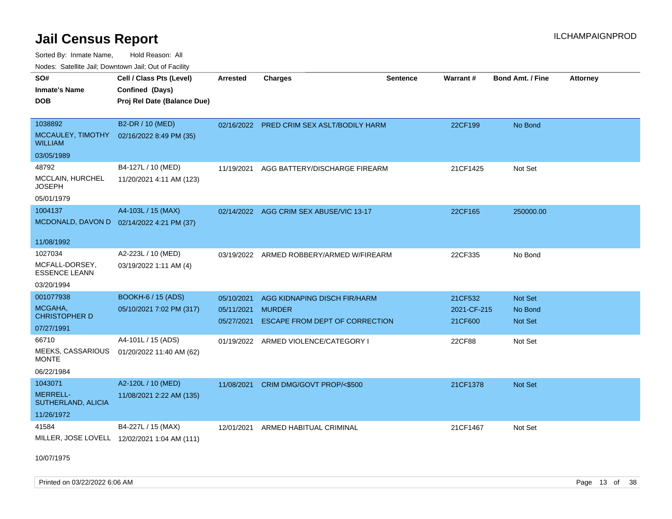Sorted By: Inmate Name, Hold Reason: All

Nodes: Satellite Jail; Downtown Jail; Out of Facility

| SO#<br><b>Inmate's Name</b><br><b>DOB</b>      | Cell / Class Pts (Level)<br>Confined (Days)<br>Proj Rel Date (Balance Due) | <b>Arrested</b> | <b>Charges</b>                            | <b>Sentence</b> | Warrant#    | Bond Amt. / Fine | <b>Attorney</b> |
|------------------------------------------------|----------------------------------------------------------------------------|-----------------|-------------------------------------------|-----------------|-------------|------------------|-----------------|
| 1038892<br>MCCAULEY, TIMOTHY<br><b>WILLIAM</b> | B2-DR / 10 (MED)<br>02/16/2022 8:49 PM (35)                                |                 | 02/16/2022 PRED CRIM SEX ASLT/BODILY HARM |                 | 22CF199     | No Bond          |                 |
| 03/05/1989                                     |                                                                            |                 |                                           |                 |             |                  |                 |
| 48792                                          | B4-127L / 10 (MED)                                                         | 11/19/2021      | AGG BATTERY/DISCHARGE FIREARM             |                 | 21CF1425    | Not Set          |                 |
| MCCLAIN, HURCHEL<br><b>JOSEPH</b>              | 11/20/2021 4:11 AM (123)                                                   |                 |                                           |                 |             |                  |                 |
| 05/01/1979                                     |                                                                            |                 |                                           |                 |             |                  |                 |
| 1004137                                        | A4-103L / 15 (MAX)                                                         |                 | 02/14/2022 AGG CRIM SEX ABUSE/VIC 13-17   |                 | 22CF165     | 250000.00        |                 |
| MCDONALD, DAVON D 02/14/2022 4:21 PM (37)      |                                                                            |                 |                                           |                 |             |                  |                 |
| 11/08/1992                                     |                                                                            |                 |                                           |                 |             |                  |                 |
| 1027034                                        | A2-223L / 10 (MED)                                                         | 03/19/2022      | ARMED ROBBERY/ARMED W/FIREARM             |                 | 22CF335     | No Bond          |                 |
| MCFALL-DORSEY,<br><b>ESSENCE LEANN</b>         | 03/19/2022 1:11 AM (4)                                                     |                 |                                           |                 |             |                  |                 |
| 03/20/1994                                     |                                                                            |                 |                                           |                 |             |                  |                 |
| 001077938                                      | <b>BOOKH-6 / 15 (ADS)</b>                                                  | 05/10/2021      | AGG KIDNAPING DISCH FIR/HARM              |                 | 21CF532     | Not Set          |                 |
| MCGAHA,                                        | 05/10/2021 7:02 PM (317)                                                   | 05/11/2021      | <b>MURDER</b>                             |                 | 2021-CF-215 | No Bond          |                 |
| <b>CHRISTOPHER D</b>                           |                                                                            | 05/27/2021      | ESCAPE FROM DEPT OF CORRECTION            |                 | 21CF600     | <b>Not Set</b>   |                 |
| 07/27/1991                                     |                                                                            |                 |                                           |                 |             |                  |                 |
| 66710                                          | A4-101L / 15 (ADS)                                                         |                 | 01/19/2022 ARMED VIOLENCE/CATEGORY I      |                 | 22CF88      | Not Set          |                 |
| MEEKS, CASSARIOUS<br><b>MONTE</b>              | 01/20/2022 11:40 AM (62)                                                   |                 |                                           |                 |             |                  |                 |
| 06/22/1984                                     |                                                                            |                 |                                           |                 |             |                  |                 |
| 1043071                                        | A2-120L / 10 (MED)                                                         | 11/08/2021      | CRIM DMG/GOVT PROP/<\$500                 |                 | 21CF1378    | Not Set          |                 |
| <b>MERRELL-</b><br>SUTHERLAND, ALICIA          | 11/08/2021 2:22 AM (135)                                                   |                 |                                           |                 |             |                  |                 |
| 11/26/1972                                     |                                                                            |                 |                                           |                 |             |                  |                 |
| 41584                                          | B4-227L / 15 (MAX)                                                         | 12/01/2021      | ARMED HABITUAL CRIMINAL                   |                 | 21CF1467    | Not Set          |                 |
|                                                | MILLER, JOSE LOVELL 12/02/2021 1:04 AM (111)                               |                 |                                           |                 |             |                  |                 |

10/07/1975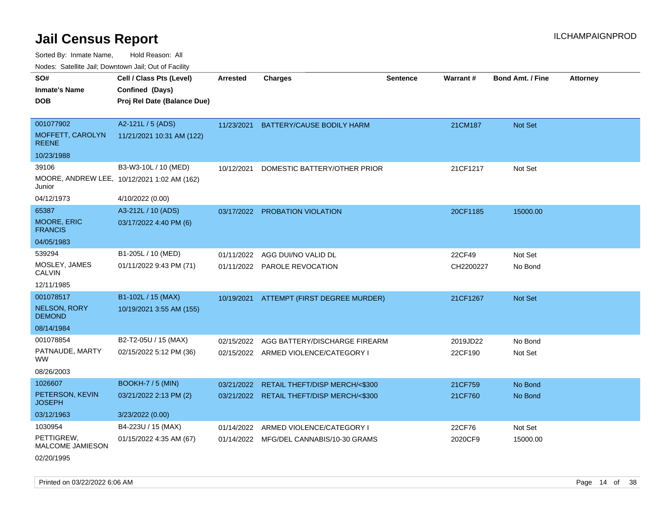Sorted By: Inmate Name, Hold Reason: All

Nodes: Satellite Jail; Downtown Jail; Out of Facility

| SO#<br><b>Inmate's Name</b><br><b>DOB</b> | Cell / Class Pts (Level)<br>Confined (Days)<br>Proj Rel Date (Balance Due) | Arrested   | <b>Charges</b>                            | <b>Sentence</b> | <b>Warrant#</b> | <b>Bond Amt. / Fine</b> | <b>Attorney</b> |
|-------------------------------------------|----------------------------------------------------------------------------|------------|-------------------------------------------|-----------------|-----------------|-------------------------|-----------------|
| 001077902                                 | A2-121L / 5 (ADS)                                                          | 11/23/2021 | BATTERY/CAUSE BODILY HARM                 |                 | 21CM187         | Not Set                 |                 |
| MOFFETT, CAROLYN<br><b>REENE</b>          | 11/21/2021 10:31 AM (122)                                                  |            |                                           |                 |                 |                         |                 |
| 10/23/1988                                |                                                                            |            |                                           |                 |                 |                         |                 |
| 39106                                     | B3-W3-10L / 10 (MED)                                                       | 10/12/2021 | DOMESTIC BATTERY/OTHER PRIOR              |                 | 21CF1217        | Not Set                 |                 |
| Junior                                    | MOORE, ANDREW LEE, 10/12/2021 1:02 AM (162)                                |            |                                           |                 |                 |                         |                 |
| 04/12/1973                                | 4/10/2022 (0.00)                                                           |            |                                           |                 |                 |                         |                 |
| 65387                                     | A3-212L / 10 (ADS)                                                         |            | 03/17/2022 PROBATION VIOLATION            |                 | 20CF1185        | 15000.00                |                 |
| MOORE, ERIC<br><b>FRANCIS</b>             | 03/17/2022 4:40 PM (6)                                                     |            |                                           |                 |                 |                         |                 |
| 04/05/1983                                |                                                                            |            |                                           |                 |                 |                         |                 |
| 539294                                    | B1-205L / 10 (MED)                                                         | 01/11/2022 | AGG DUI/NO VALID DL                       |                 | 22CF49          | Not Set                 |                 |
| MOSLEY, JAMES<br><b>CALVIN</b>            | 01/11/2022 9:43 PM (71)                                                    |            | 01/11/2022 PAROLE REVOCATION              |                 | CH2200227       | No Bond                 |                 |
| 12/11/1985                                |                                                                            |            |                                           |                 |                 |                         |                 |
| 001078517                                 | B1-102L / 15 (MAX)                                                         |            | 10/19/2021 ATTEMPT (FIRST DEGREE MURDER)  |                 | 21CF1267        | Not Set                 |                 |
| <b>NELSON, RORY</b><br><b>DEMOND</b>      | 10/19/2021 3:55 AM (155)                                                   |            |                                           |                 |                 |                         |                 |
| 08/14/1984                                |                                                                            |            |                                           |                 |                 |                         |                 |
| 001078854                                 | B2-T2-05U / 15 (MAX)                                                       | 02/15/2022 | AGG BATTERY/DISCHARGE FIREARM             |                 | 2019JD22        | No Bond                 |                 |
| PATNAUDE, MARTY<br><b>WW</b>              | 02/15/2022 5:12 PM (36)                                                    |            | 02/15/2022 ARMED VIOLENCE/CATEGORY I      |                 | 22CF190         | Not Set                 |                 |
| 08/26/2003                                |                                                                            |            |                                           |                 |                 |                         |                 |
| 1026607                                   | <b>BOOKH-7 / 5 (MIN)</b>                                                   | 03/21/2022 | RETAIL THEFT/DISP MERCH/<\$300            |                 | 21CF759         | No Bond                 |                 |
| PETERSON, KEVIN<br><b>JOSEPH</b>          | 03/21/2022 2:13 PM (2)                                                     |            | 03/21/2022 RETAIL THEFT/DISP MERCH/<\$300 |                 | 21CF760         | No Bond                 |                 |
| 03/12/1963                                | 3/23/2022 (0.00)                                                           |            |                                           |                 |                 |                         |                 |
| 1030954                                   | B4-223U / 15 (MAX)                                                         | 01/14/2022 | ARMED VIOLENCE/CATEGORY I                 |                 | 22CF76          | Not Set                 |                 |
| PETTIGREW,<br>MALCOME JAMIESON            | 01/15/2022 4:35 AM (67)                                                    |            | 01/14/2022 MFG/DEL CANNABIS/10-30 GRAMS   |                 | 2020CF9         | 15000.00                |                 |

02/20/1995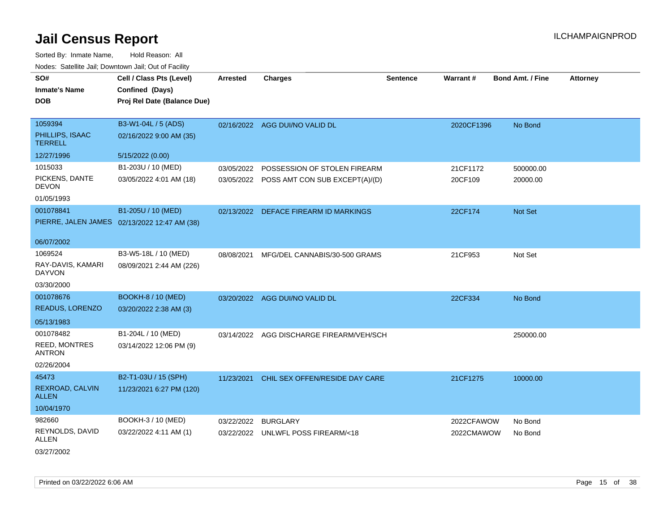| SO#                                   | Cell / Class Pts (Level)                     | Arrested   |                                           | <b>Sentence</b> | Warrant#   | <b>Bond Amt. / Fine</b> |                 |
|---------------------------------------|----------------------------------------------|------------|-------------------------------------------|-----------------|------------|-------------------------|-----------------|
| <b>Inmate's Name</b>                  |                                              |            | <b>Charges</b>                            |                 |            |                         | <b>Attorney</b> |
|                                       | Confined (Days)                              |            |                                           |                 |            |                         |                 |
| <b>DOB</b>                            | Proj Rel Date (Balance Due)                  |            |                                           |                 |            |                         |                 |
| 1059394                               | B3-W1-04L / 5 (ADS)                          |            | 02/16/2022 AGG DUI/NO VALID DL            |                 | 2020CF1396 | No Bond                 |                 |
| PHILLIPS, ISAAC<br><b>TERRELL</b>     | 02/16/2022 9:00 AM (35)                      |            |                                           |                 |            |                         |                 |
| 12/27/1996                            | 5/15/2022 (0.00)                             |            |                                           |                 |            |                         |                 |
| 1015033                               | B1-203U / 10 (MED)                           | 03/05/2022 | POSSESSION OF STOLEN FIREARM              |                 | 21CF1172   | 500000.00               |                 |
| PICKENS, DANTE<br><b>DEVON</b>        | 03/05/2022 4:01 AM (18)                      |            | 03/05/2022 POSS AMT CON SUB EXCEPT(A)/(D) |                 | 20CF109    | 20000.00                |                 |
| 01/05/1993                            |                                              |            |                                           |                 |            |                         |                 |
| 001078841                             | B1-205U / 10 (MED)                           |            | 02/13/2022 DEFACE FIREARM ID MARKINGS     |                 | 22CF174    | Not Set                 |                 |
|                                       | PIERRE, JALEN JAMES 02/13/2022 12:47 AM (38) |            |                                           |                 |            |                         |                 |
|                                       |                                              |            |                                           |                 |            |                         |                 |
| 06/07/2002                            |                                              |            |                                           |                 |            |                         |                 |
| 1069524                               | B3-W5-18L / 10 (MED)                         | 08/08/2021 | MFG/DEL CANNABIS/30-500 GRAMS             |                 | 21CF953    | Not Set                 |                 |
| RAY-DAVIS, KAMARI<br><b>DAYVON</b>    | 08/09/2021 2:44 AM (226)                     |            |                                           |                 |            |                         |                 |
| 03/30/2000                            |                                              |            |                                           |                 |            |                         |                 |
| 001078676                             | <b>BOOKH-8 / 10 (MED)</b>                    |            | 03/20/2022 AGG DUI/NO VALID DL            |                 | 22CF334    | No Bond                 |                 |
| READUS, LORENZO                       | 03/20/2022 2:38 AM (3)                       |            |                                           |                 |            |                         |                 |
| 05/13/1983                            |                                              |            |                                           |                 |            |                         |                 |
| 001078482                             | B1-204L / 10 (MED)                           |            | 03/14/2022 AGG DISCHARGE FIREARM/VEH/SCH  |                 |            | 250000.00               |                 |
| <b>REED, MONTRES</b><br><b>ANTRON</b> | 03/14/2022 12:06 PM (9)                      |            |                                           |                 |            |                         |                 |
| 02/26/2004                            |                                              |            |                                           |                 |            |                         |                 |
| 45473                                 | B2-T1-03U / 15 (SPH)                         | 11/23/2021 | CHIL SEX OFFEN/RESIDE DAY CARE            |                 | 21CF1275   | 10000.00                |                 |
| REXROAD, CALVIN<br><b>ALLEN</b>       | 11/23/2021 6:27 PM (120)                     |            |                                           |                 |            |                         |                 |
| 10/04/1970                            |                                              |            |                                           |                 |            |                         |                 |
| 982660                                | BOOKH-3 / 10 (MED)                           | 03/22/2022 | <b>BURGLARY</b>                           |                 | 2022CFAWOW | No Bond                 |                 |
| REYNOLDS, DAVID<br><b>ALLEN</b>       | 03/22/2022 4:11 AM (1)                       |            | 03/22/2022 UNLWFL POSS FIREARM/<18        |                 | 2022CMAWOW | No Bond                 |                 |
| 03/27/2002                            |                                              |            |                                           |                 |            |                         |                 |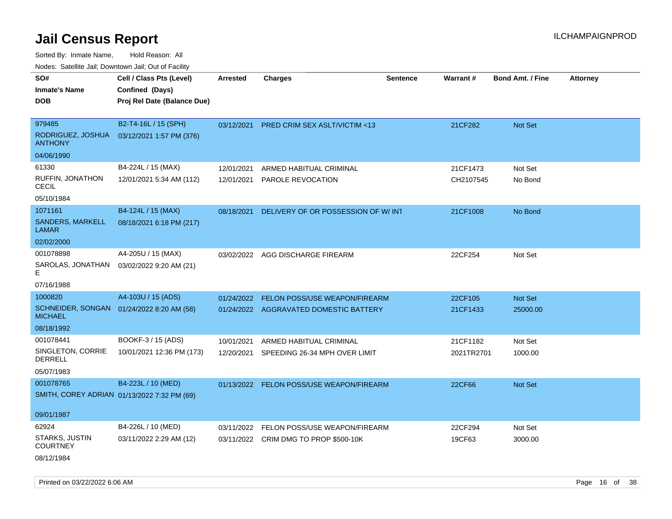| Noues. Salenne Jan, Downlown Jan, Out or Facility |                                             |            |                                          |          |            |                         |                 |
|---------------------------------------------------|---------------------------------------------|------------|------------------------------------------|----------|------------|-------------------------|-----------------|
| SO#                                               | Cell / Class Pts (Level)                    | Arrested   | <b>Charges</b>                           | Sentence | Warrant#   | <b>Bond Amt. / Fine</b> | <b>Attorney</b> |
| <b>Inmate's Name</b>                              | Confined (Days)                             |            |                                          |          |            |                         |                 |
| <b>DOB</b>                                        | Proj Rel Date (Balance Due)                 |            |                                          |          |            |                         |                 |
|                                                   |                                             |            |                                          |          |            |                         |                 |
| 979485                                            | B2-T4-16L / 15 (SPH)                        | 03/12/2021 | <b>PRED CRIM SEX ASLT/VICTIM &lt;13</b>  |          | 21CF282    | <b>Not Set</b>          |                 |
| RODRIGUEZ, JOSHUA<br><b>ANTHONY</b>               | 03/12/2021 1:57 PM (376)                    |            |                                          |          |            |                         |                 |
| 04/06/1990                                        |                                             |            |                                          |          |            |                         |                 |
| 61330                                             | B4-224L / 15 (MAX)                          | 12/01/2021 | ARMED HABITUAL CRIMINAL                  |          | 21CF1473   | Not Set                 |                 |
| RUFFIN, JONATHON<br>CECIL                         | 12/01/2021 5:34 AM (112)                    | 12/01/2021 | <b>PAROLE REVOCATION</b>                 |          | CH2107545  | No Bond                 |                 |
| 05/10/1984                                        |                                             |            |                                          |          |            |                         |                 |
| 1071161                                           | B4-124L / 15 (MAX)                          | 08/18/2021 | DELIVERY OF OR POSSESSION OF W/INT       |          | 21CF1008   | No Bond                 |                 |
| SANDERS, MARKELL<br>LAMAR                         | 08/18/2021 6:18 PM (217)                    |            |                                          |          |            |                         |                 |
| 02/02/2000                                        |                                             |            |                                          |          |            |                         |                 |
| 001078898                                         | A4-205U / 15 (MAX)                          | 03/02/2022 | AGG DISCHARGE FIREARM                    |          | 22CF254    | Not Set                 |                 |
| SAROLAS, JONATHAN<br>Е                            | 03/02/2022 9:20 AM (21)                     |            |                                          |          |            |                         |                 |
| 07/16/1988                                        |                                             |            |                                          |          |            |                         |                 |
| 1000820                                           | A4-103U / 15 (ADS)                          | 01/24/2022 | FELON POSS/USE WEAPON/FIREARM            |          | 22CF105    | Not Set                 |                 |
| <b>MICHAEL</b>                                    | SCHNEIDER, SONGAN 01/24/2022 8:20 AM (58)   |            | 01/24/2022 AGGRAVATED DOMESTIC BATTERY   |          | 21CF1433   | 25000.00                |                 |
| 08/18/1992                                        |                                             |            |                                          |          |            |                         |                 |
| 001078441                                         | BOOKF-3 / 15 (ADS)                          | 10/01/2021 | ARMED HABITUAL CRIMINAL                  |          | 21CF1182   | Not Set                 |                 |
| SINGLETON, CORRIE<br>DERRELL                      | 10/01/2021 12:36 PM (173)                   | 12/20/2021 | SPEEDING 26-34 MPH OVER LIMIT            |          | 2021TR2701 | 1000.00                 |                 |
| 05/07/1983                                        |                                             |            |                                          |          |            |                         |                 |
| 001078765                                         | B4-223L / 10 (MED)                          |            | 01/13/2022 FELON POSS/USE WEAPON/FIREARM |          | 22CF66     | Not Set                 |                 |
|                                                   | SMITH, COREY ADRIAN 01/13/2022 7:32 PM (69) |            |                                          |          |            |                         |                 |
| 09/01/1987                                        |                                             |            |                                          |          |            |                         |                 |
| 62924                                             | B4-226L / 10 (MED)                          | 03/11/2022 | FELON POSS/USE WEAPON/FIREARM            |          | 22CF294    | Not Set                 |                 |
| <b>STARKS, JUSTIN</b><br><b>COURTNEY</b>          | 03/11/2022 2:29 AM (12)                     | 03/11/2022 | CRIM DMG TO PROP \$500-10K               |          | 19CF63     | 3000.00                 |                 |
| 08/12/1984                                        |                                             |            |                                          |          |            |                         |                 |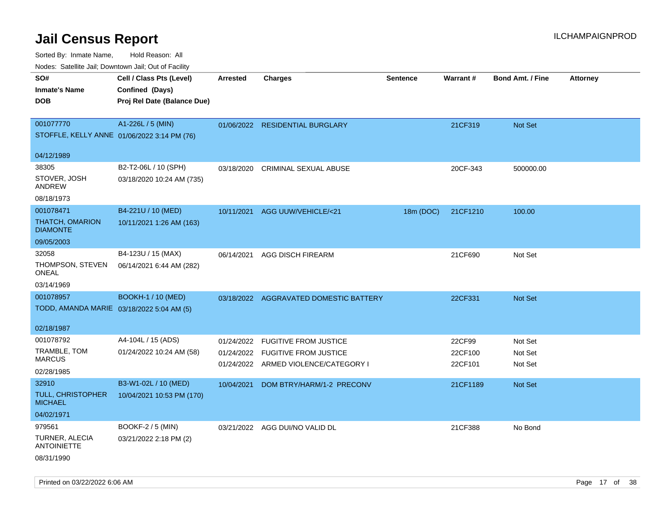| Noues. Sateme Jan, Downtown Jan, Out or Facility |                             |                 |                                        |                 |          |                         |                 |
|--------------------------------------------------|-----------------------------|-----------------|----------------------------------------|-----------------|----------|-------------------------|-----------------|
| SO#                                              | Cell / Class Pts (Level)    | <b>Arrested</b> | <b>Charges</b>                         | <b>Sentence</b> | Warrant# | <b>Bond Amt. / Fine</b> | <b>Attorney</b> |
| <b>Inmate's Name</b>                             | Confined (Days)             |                 |                                        |                 |          |                         |                 |
| <b>DOB</b>                                       | Proj Rel Date (Balance Due) |                 |                                        |                 |          |                         |                 |
|                                                  |                             |                 |                                        |                 |          |                         |                 |
| 001077770                                        | A1-226L / 5 (MIN)           |                 | 01/06/2022 RESIDENTIAL BURGLARY        |                 | 21CF319  | Not Set                 |                 |
| STOFFLE, KELLY ANNE 01/06/2022 3:14 PM (76)      |                             |                 |                                        |                 |          |                         |                 |
|                                                  |                             |                 |                                        |                 |          |                         |                 |
| 04/12/1989                                       |                             |                 |                                        |                 |          |                         |                 |
| 38305                                            | B2-T2-06L / 10 (SPH)        | 03/18/2020      | CRIMINAL SEXUAL ABUSE                  |                 | 20CF-343 | 500000.00               |                 |
| STOVER, JOSH<br>ANDREW                           | 03/18/2020 10:24 AM (735)   |                 |                                        |                 |          |                         |                 |
| 08/18/1973                                       |                             |                 |                                        |                 |          |                         |                 |
| 001078471                                        | B4-221U / 10 (MED)          | 10/11/2021      | AGG UUW/VEHICLE/<21                    | 18m (DOC)       | 21CF1210 | 100.00                  |                 |
| <b>THATCH, OMARION</b><br><b>DIAMONTE</b>        | 10/11/2021 1:26 AM (163)    |                 |                                        |                 |          |                         |                 |
| 09/05/2003                                       |                             |                 |                                        |                 |          |                         |                 |
| 32058                                            | B4-123U / 15 (MAX)          | 06/14/2021      | AGG DISCH FIREARM                      |                 | 21CF690  | Not Set                 |                 |
| THOMPSON, STEVEN<br>ONEAL                        | 06/14/2021 6:44 AM (282)    |                 |                                        |                 |          |                         |                 |
| 03/14/1969                                       |                             |                 |                                        |                 |          |                         |                 |
| 001078957                                        | <b>BOOKH-1 / 10 (MED)</b>   |                 | 03/18/2022 AGGRAVATED DOMESTIC BATTERY |                 | 22CF331  | <b>Not Set</b>          |                 |
| TODD, AMANDA MARIE 03/18/2022 5:04 AM (5)        |                             |                 |                                        |                 |          |                         |                 |
|                                                  |                             |                 |                                        |                 |          |                         |                 |
| 02/18/1987                                       |                             |                 |                                        |                 |          |                         |                 |
| 001078792                                        | A4-104L / 15 (ADS)          | 01/24/2022      | <b>FUGITIVE FROM JUSTICE</b>           |                 | 22CF99   | Not Set                 |                 |
| TRAMBLE, TOM                                     | 01/24/2022 10:24 AM (58)    | 01/24/2022      | <b>FUGITIVE FROM JUSTICE</b>           |                 | 22CF100  | Not Set                 |                 |
| <b>MARCUS</b>                                    |                             |                 | 01/24/2022 ARMED VIOLENCE/CATEGORY I   |                 | 22CF101  | Not Set                 |                 |
| 02/28/1985                                       |                             |                 |                                        |                 |          |                         |                 |
| 32910                                            | B3-W1-02L / 10 (MED)        | 10/04/2021      | DOM BTRY/HARM/1-2 PRECONV              |                 | 21CF1189 | Not Set                 |                 |
| TULL, CHRISTOPHER<br><b>MICHAEL</b>              | 10/04/2021 10:53 PM (170)   |                 |                                        |                 |          |                         |                 |
| 04/02/1971                                       |                             |                 |                                        |                 |          |                         |                 |
| 979561                                           | <b>BOOKF-2 / 5 (MIN)</b>    |                 | 03/21/2022 AGG DUI/NO VALID DL         |                 | 21CF388  | No Bond                 |                 |
| TURNER, ALECIA<br>ANTOINIETTE                    | 03/21/2022 2:18 PM (2)      |                 |                                        |                 |          |                         |                 |
| 08/31/1990                                       |                             |                 |                                        |                 |          |                         |                 |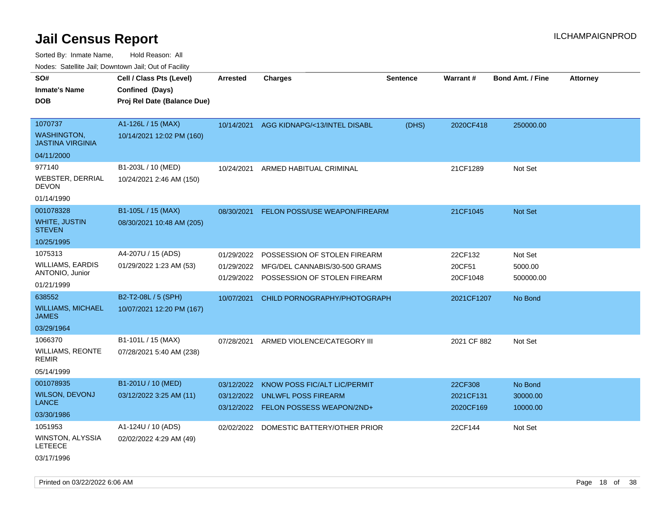Sorted By: Inmate Name, Hold Reason: All

Nodes: Satellite Jail; Downtown Jail; Out of Facility

| ivuutos. Saltiilit Jali, Duwilluwii Jali, Oul of Facility |                             |            |                                  |          |                 |                         |                 |
|-----------------------------------------------------------|-----------------------------|------------|----------------------------------|----------|-----------------|-------------------------|-----------------|
| SO#                                                       | Cell / Class Pts (Level)    | Arrested   | <b>Charges</b>                   | Sentence | <b>Warrant#</b> | <b>Bond Amt. / Fine</b> | <b>Attorney</b> |
| <b>Inmate's Name</b>                                      | Confined (Days)             |            |                                  |          |                 |                         |                 |
| <b>DOB</b>                                                | Proj Rel Date (Balance Due) |            |                                  |          |                 |                         |                 |
|                                                           |                             |            |                                  |          |                 |                         |                 |
| 1070737                                                   | A1-126L / 15 (MAX)          | 10/14/2021 | AGG KIDNAPG/<13/INTEL DISABL     | (DHS)    | 2020CF418       | 250000.00               |                 |
| <b>WASHINGTON,</b><br><b>JASTINA VIRGINIA</b>             | 10/14/2021 12:02 PM (160)   |            |                                  |          |                 |                         |                 |
| 04/11/2000                                                |                             |            |                                  |          |                 |                         |                 |
| 977140                                                    | B1-203L / 10 (MED)          | 10/24/2021 | ARMED HABITUAL CRIMINAL          |          | 21CF1289        | Not Set                 |                 |
| <b>WEBSTER, DERRIAL</b><br><b>DEVON</b>                   | 10/24/2021 2:46 AM (150)    |            |                                  |          |                 |                         |                 |
| 01/14/1990                                                |                             |            |                                  |          |                 |                         |                 |
| 001078328                                                 | B1-105L / 15 (MAX)          | 08/30/2021 | FELON POSS/USE WEAPON/FIREARM    |          | 21CF1045        | Not Set                 |                 |
| WHITE, JUSTIN<br><b>STEVEN</b>                            | 08/30/2021 10:48 AM (205)   |            |                                  |          |                 |                         |                 |
| 10/25/1995                                                |                             |            |                                  |          |                 |                         |                 |
| 1075313                                                   | A4-207U / 15 (ADS)          | 01/29/2022 | POSSESSION OF STOLEN FIREARM     |          | 22CF132         | Not Set                 |                 |
| <b>WILLIAMS, EARDIS</b>                                   | 01/29/2022 1:23 AM (53)     | 01/29/2022 | MFG/DEL CANNABIS/30-500 GRAMS    |          | 20CF51          | 5000.00                 |                 |
| ANTONIO, Junior                                           |                             | 01/29/2022 | POSSESSION OF STOLEN FIREARM     |          | 20CF1048        | 500000.00               |                 |
| 01/21/1999                                                |                             |            |                                  |          |                 |                         |                 |
| 638552                                                    | B2-T2-08L / 5 (SPH)         | 10/07/2021 | CHILD PORNOGRAPHY/PHOTOGRAPH     |          | 2021CF1207      | No Bond                 |                 |
| <b>WILLIAMS, MICHAEL</b><br><b>JAMES</b>                  | 10/07/2021 12:20 PM (167)   |            |                                  |          |                 |                         |                 |
| 03/29/1964                                                |                             |            |                                  |          |                 |                         |                 |
| 1066370                                                   | B1-101L / 15 (MAX)          | 07/28/2021 | ARMED VIOLENCE/CATEGORY III      |          | 2021 CF 882     | Not Set                 |                 |
| <b>WILLIAMS, REONTE</b><br><b>REMIR</b>                   | 07/28/2021 5:40 AM (238)    |            |                                  |          |                 |                         |                 |
| 05/14/1999                                                |                             |            |                                  |          |                 |                         |                 |
| 001078935                                                 | B1-201U / 10 (MED)          | 03/12/2022 | KNOW POSS FIC/ALT LIC/PERMIT     |          | 22CF308         | No Bond                 |                 |
| <b>WILSON, DEVONJ</b>                                     | 03/12/2022 3:25 AM (11)     | 03/12/2022 | <b>UNLWFL POSS FIREARM</b>       |          | 2021CF131       | 30000.00                |                 |
| <b>LANCE</b>                                              |                             | 03/12/2022 | <b>FELON POSSESS WEAPON/2ND+</b> |          | 2020CF169       | 10000.00                |                 |
| 03/30/1986                                                |                             |            |                                  |          |                 |                         |                 |
| 1051953                                                   | A1-124U / 10 (ADS)          | 02/02/2022 | DOMESTIC BATTERY/OTHER PRIOR     |          | 22CF144         | Not Set                 |                 |
| WINSTON, ALYSSIA<br><b>LETEECE</b>                        | 02/02/2022 4:29 AM (49)     |            |                                  |          |                 |                         |                 |
| 03/17/1996                                                |                             |            |                                  |          |                 |                         |                 |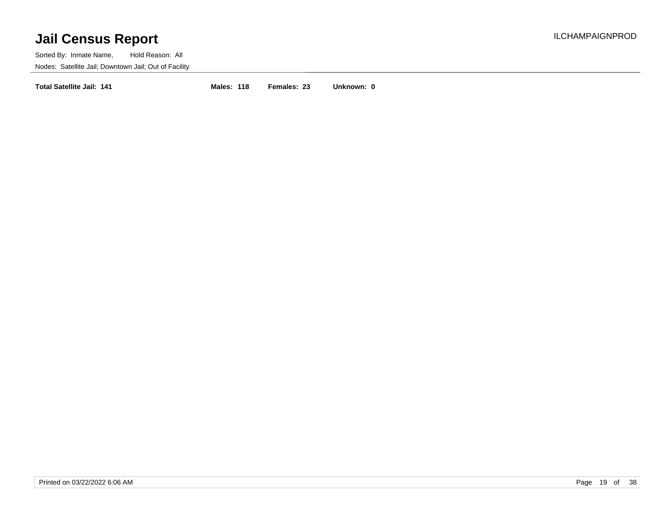Sorted By: Inmate Name, Hold Reason: All Nodes: Satellite Jail; Downtown Jail; Out of Facility

**Total Satellite Jail: 141 Males: 118 Females: 23 Unknown: 0**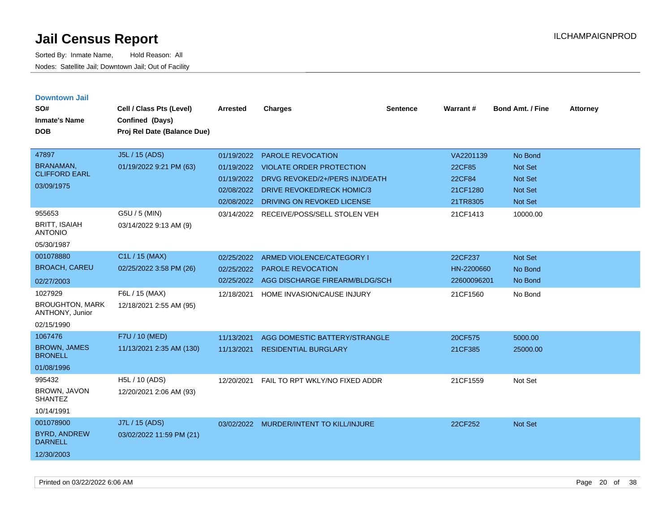| <b>Downtown Jail</b><br>SO#<br><b>Inmate's Name</b><br><b>DOB</b>  | Cell / Class Pts (Level)<br>Confined (Days)<br>Proj Rel Date (Balance Due) | <b>Arrested</b>          | <b>Charges</b>                                               | <b>Sentence</b> | Warrant#           | <b>Bond Amt. / Fine</b>          | <b>Attorney</b> |
|--------------------------------------------------------------------|----------------------------------------------------------------------------|--------------------------|--------------------------------------------------------------|-----------------|--------------------|----------------------------------|-----------------|
| 47897                                                              | J5L / 15 (ADS)                                                             | 01/19/2022               | <b>PAROLE REVOCATION</b>                                     |                 | VA2201139          | No Bond                          |                 |
| <b>BRANAMAN,</b><br><b>CLIFFORD EARL</b>                           | 01/19/2022 9:21 PM (63)                                                    | 01/19/2022               | <b>VIOLATE ORDER PROTECTION</b>                              |                 | 22CF85             | <b>Not Set</b>                   |                 |
| 03/09/1975                                                         |                                                                            | 01/19/2022<br>02/08/2022 | DRVG REVOKED/2+/PERS INJ/DEATH<br>DRIVE REVOKED/RECK HOMIC/3 |                 | 22CF84<br>21CF1280 | <b>Not Set</b><br><b>Not Set</b> |                 |
|                                                                    |                                                                            | 02/08/2022               | DRIVING ON REVOKED LICENSE                                   |                 | 21TR8305           | Not Set                          |                 |
| 955653<br><b>BRITT, ISAIAH</b><br><b>ANTONIO</b>                   | G5U / 5 (MIN)<br>03/14/2022 9:13 AM (9)                                    | 03/14/2022               | RECEIVE/POSS/SELL STOLEN VEH                                 |                 | 21CF1413           | 10000.00                         |                 |
| 05/30/1987                                                         |                                                                            |                          |                                                              |                 |                    |                                  |                 |
| 001078880                                                          | C1L / 15 (MAX)                                                             | 02/25/2022               | ARMED VIOLENCE/CATEGORY I                                    |                 | 22CF237            | <b>Not Set</b>                   |                 |
| <b>BROACH, CAREU</b>                                               | 02/25/2022 3:58 PM (26)                                                    | 02/25/2022               | <b>PAROLE REVOCATION</b>                                     |                 | HN-2200660         | No Bond                          |                 |
| 02/27/2003                                                         |                                                                            | 02/25/2022               | AGG DISCHARGE FIREARM/BLDG/SCH                               |                 | 22600096201        | No Bond                          |                 |
| 1027929<br><b>BROUGHTON, MARK</b><br>ANTHONY, Junior<br>02/15/1990 | F6L / 15 (MAX)<br>12/18/2021 2:55 AM (95)                                  | 12/18/2021               | HOME INVASION/CAUSE INJURY                                   |                 | 21CF1560           | No Bond                          |                 |
| 1067476                                                            | F7U / 10 (MED)                                                             | 11/13/2021               | AGG DOMESTIC BATTERY/STRANGLE                                |                 | 20CF575            | 5000.00                          |                 |
| <b>BROWN, JAMES</b><br><b>BRONELL</b>                              | 11/13/2021 2:35 AM (130)                                                   | 11/13/2021               | <b>RESIDENTIAL BURGLARY</b>                                  |                 | 21CF385            | 25000.00                         |                 |
| 01/08/1996                                                         |                                                                            |                          |                                                              |                 |                    |                                  |                 |
| 995432<br>BROWN, JAVON<br><b>SHANTEZ</b>                           | H5L / 10 (ADS)<br>12/20/2021 2:06 AM (93)                                  | 12/20/2021               | FAIL TO RPT WKLY/NO FIXED ADDR                               |                 | 21CF1559           | Not Set                          |                 |
| 10/14/1991                                                         |                                                                            |                          |                                                              |                 |                    |                                  |                 |
| 001078900                                                          | J7L / 15 (ADS)                                                             | 03/02/2022               | <b>MURDER/INTENT TO KILL/INJURE</b>                          |                 | 22CF252            | <b>Not Set</b>                   |                 |
| <b>BYRD, ANDREW</b><br><b>DARNELL</b>                              | 03/02/2022 11:59 PM (21)                                                   |                          |                                                              |                 |                    |                                  |                 |
| 12/30/2003                                                         |                                                                            |                          |                                                              |                 |                    |                                  |                 |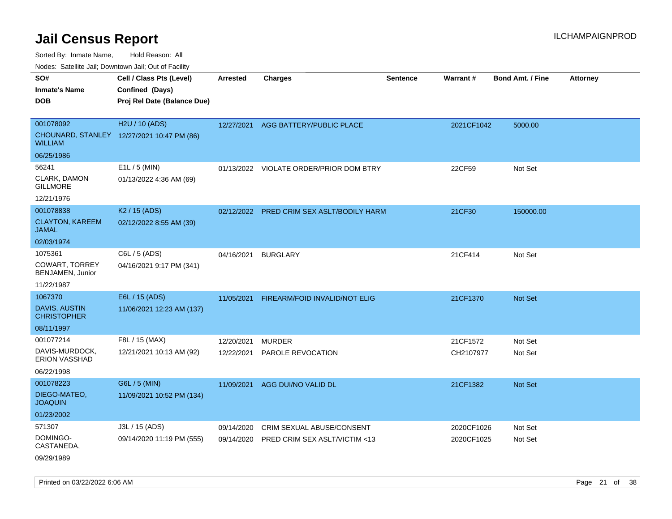Sorted By: Inmate Name, Hold Reason: All

Nodes: Satellite Jail; Downtown Jail; Out of Facility

| SO#<br><b>Inmate's Name</b><br><b>DOB</b>                            | Cell / Class Pts (Level)<br>Confined (Days)<br>Proj Rel Date (Balance Due) | <b>Arrested</b>          | <b>Charges</b>                                             | <b>Sentence</b> | <b>Warrant#</b>          | <b>Bond Amt. / Fine</b> | <b>Attorney</b> |
|----------------------------------------------------------------------|----------------------------------------------------------------------------|--------------------------|------------------------------------------------------------|-----------------|--------------------------|-------------------------|-----------------|
| 001078092<br><b>WILLIAM</b>                                          | H2U / 10 (ADS)<br>CHOUNARD, STANLEY 12/27/2021 10:47 PM (86)               | 12/27/2021               | AGG BATTERY/PUBLIC PLACE                                   |                 | 2021CF1042               | 5000.00                 |                 |
| 06/25/1986<br>56241<br>CLARK, DAMON<br><b>GILLMORE</b><br>12/21/1976 | E1L / 5 (MIN)<br>01/13/2022 4:36 AM (69)                                   |                          | 01/13/2022 VIOLATE ORDER/PRIOR DOM BTRY                    |                 | 22CF59                   | Not Set                 |                 |
| 001078838<br><b>CLAYTON, KAREEM</b><br><b>JAMAL</b><br>02/03/1974    | K <sub>2</sub> / 15 (ADS)<br>02/12/2022 8:55 AM (39)                       |                          | 02/12/2022 PRED CRIM SEX ASLT/BODILY HARM                  |                 | 21CF30                   | 150000.00               |                 |
| 1075361<br><b>COWART, TORREY</b><br>BENJAMEN, Junior<br>11/22/1987   | C6L / 5 (ADS)<br>04/16/2021 9:17 PM (341)                                  | 04/16/2021               | <b>BURGLARY</b>                                            |                 | 21CF414                  | Not Set                 |                 |
| 1067370<br><b>DAVIS, AUSTIN</b><br><b>CHRISTOPHER</b><br>08/11/1997  | E6L / 15 (ADS)<br>11/06/2021 12:23 AM (137)                                | 11/05/2021               | FIREARM/FOID INVALID/NOT ELIG                              |                 | 21CF1370                 | Not Set                 |                 |
| 001077214<br>DAVIS-MURDOCK,<br>ERION VASSHAD<br>06/22/1998           | F8L / 15 (MAX)<br>12/21/2021 10:13 AM (92)                                 | 12/20/2021<br>12/22/2021 | <b>MURDER</b><br>PAROLE REVOCATION                         |                 | 21CF1572<br>CH2107977    | Not Set<br>Not Set      |                 |
| 001078223<br>DIEGO-MATEO,<br><b>JOAQUIN</b><br>01/23/2002            | G6L / 5 (MIN)<br>11/09/2021 10:52 PM (134)                                 | 11/09/2021               | AGG DUI/NO VALID DL                                        |                 | 21CF1382                 | Not Set                 |                 |
| 571307<br>DOMINGO-<br>CASTANEDA,<br>09/29/1989                       | J3L / 15 (ADS)<br>09/14/2020 11:19 PM (555)                                | 09/14/2020<br>09/14/2020 | CRIM SEXUAL ABUSE/CONSENT<br>PRED CRIM SEX ASLT/VICTIM <13 |                 | 2020CF1026<br>2020CF1025 | Not Set<br>Not Set      |                 |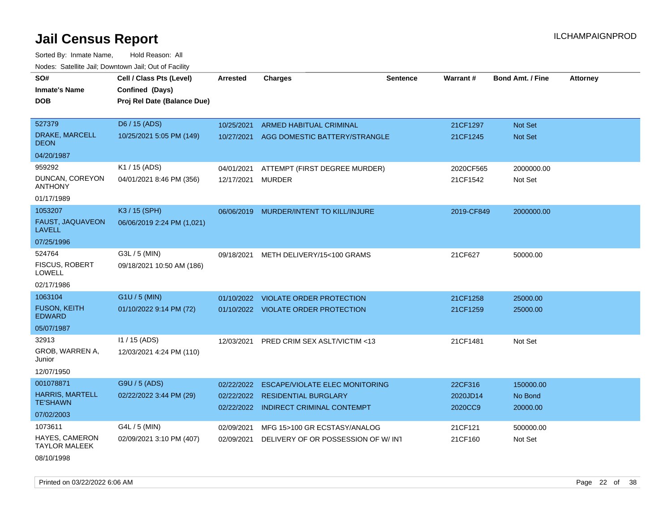Sorted By: Inmate Name, Hold Reason: All Nodes: Satellite Jail; Downtown Jail; Out of Facility

| roaco. Calcinio dan, Downtown dan, Cal or Fability |                                                                            |                          |                                                                  |                 |                     |                         |                 |
|----------------------------------------------------|----------------------------------------------------------------------------|--------------------------|------------------------------------------------------------------|-----------------|---------------------|-------------------------|-----------------|
| SO#<br>Inmate's Name<br><b>DOB</b>                 | Cell / Class Pts (Level)<br>Confined (Days)<br>Proj Rel Date (Balance Due) | Arrested                 | <b>Charges</b>                                                   | <b>Sentence</b> | Warrant#            | <b>Bond Amt. / Fine</b> | <b>Attorney</b> |
| 527379                                             | D6 / 15 (ADS)                                                              | 10/25/2021               | <b>ARMED HABITUAL CRIMINAL</b>                                   |                 | 21CF1297            | <b>Not Set</b>          |                 |
| DRAKE, MARCELL<br>DEON                             | 10/25/2021 5:05 PM (149)                                                   | 10/27/2021               | AGG DOMESTIC BATTERY/STRANGLE                                    |                 | 21CF1245            | <b>Not Set</b>          |                 |
| 04/20/1987                                         |                                                                            |                          |                                                                  |                 |                     |                         |                 |
| 959292                                             | K1 / 15 (ADS)                                                              | 04/01/2021               | ATTEMPT (FIRST DEGREE MURDER)                                    |                 | 2020CF565           | 2000000.00              |                 |
| DUNCAN, COREYON<br>ANTHONY                         | 04/01/2021 8:46 PM (356)                                                   | 12/17/2021               | <b>MURDER</b>                                                    |                 | 21CF1542            | Not Set                 |                 |
| 01/17/1989                                         |                                                                            |                          |                                                                  |                 |                     |                         |                 |
| 1053207                                            | K3 / 15 (SPH)                                                              | 06/06/2019               | MURDER/INTENT TO KILL/INJURE                                     |                 | 2019-CF849          | 2000000.00              |                 |
| <b>FAUST, JAQUAVEON</b><br>LAVELL                  | 06/06/2019 2:24 PM (1,021)                                                 |                          |                                                                  |                 |                     |                         |                 |
| 07/25/1996                                         |                                                                            |                          |                                                                  |                 |                     |                         |                 |
| 524764                                             | G3L / 5 (MIN)                                                              | 09/18/2021               | METH DELIVERY/15<100 GRAMS                                       |                 | 21CF627             | 50000.00                |                 |
| FISCUS, ROBERT<br>LOWELL                           | 09/18/2021 10:50 AM (186)                                                  |                          |                                                                  |                 |                     |                         |                 |
| 02/17/1986                                         |                                                                            |                          |                                                                  |                 |                     |                         |                 |
| 1063104                                            | $G1U / 5$ (MIN)                                                            | 01/10/2022               | <b>VIOLATE ORDER PROTECTION</b>                                  |                 | 21CF1258            | 25000.00                |                 |
| <b>FUSON, KEITH</b><br>EDWARD                      | 01/10/2022 9:14 PM (72)                                                    |                          | 01/10/2022 VIOLATE ORDER PROTECTION                              |                 | 21CF1259            | 25000.00                |                 |
| 05/07/1987                                         |                                                                            |                          |                                                                  |                 |                     |                         |                 |
| 32913                                              | 11 / 15 (ADS)                                                              | 12/03/2021               | <b>PRED CRIM SEX ASLT/VICTIM &lt;13</b>                          |                 | 21CF1481            | Not Set                 |                 |
| GROB, WARREN A,<br>Junior                          | 12/03/2021 4:24 PM (110)                                                   |                          |                                                                  |                 |                     |                         |                 |
| 12/07/1950                                         |                                                                            |                          |                                                                  |                 |                     |                         |                 |
| 001078871                                          | G9U / 5 (ADS)                                                              | 02/22/2022               | ESCAPE/VIOLATE ELEC MONITORING                                   |                 | 22CF316             | 150000.00               |                 |
| <b>HARRIS, MARTELL</b><br><b>TE'SHAWN</b>          | 02/22/2022 3:44 PM (29)                                                    | 02/22/2022<br>02/22/2022 | <b>RESIDENTIAL BURGLARY</b><br><b>INDIRECT CRIMINAL CONTEMPT</b> |                 | 2020JD14<br>2020CC9 | No Bond<br>20000.00     |                 |
| 07/02/2003                                         |                                                                            |                          |                                                                  |                 |                     |                         |                 |
| 1073611                                            | G4L / 5 (MIN)                                                              | 02/09/2021               | MFG 15>100 GR ECSTASY/ANALOG                                     |                 | 21CF121             | 500000.00               |                 |
| HAYES, CAMERON<br>TAYLOR MALEEK                    | 02/09/2021 3:10 PM (407)                                                   | 02/09/2021               | DELIVERY OF OR POSSESSION OF W/INT                               |                 | 21CF160             | Not Set                 |                 |
|                                                    |                                                                            |                          |                                                                  |                 |                     |                         |                 |

08/10/1998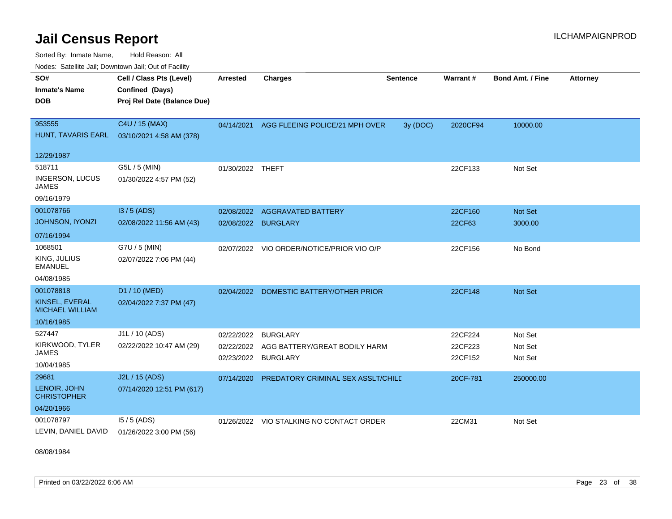Sorted By: Inmate Name, Hold Reason: All Nodes: Satellite Jail; Downtown Jail; Out of Facility

| SO#<br><b>Inmate's Name</b><br><b>DOB</b>                           | Cell / Class Pts (Level)<br>Confined (Days)<br>Proj Rel Date (Balance Due) | Arrested                 | <b>Charges</b>                                                          | <b>Sentence</b> | <b>Warrant#</b>               | <b>Bond Amt. / Fine</b>       | <b>Attorney</b> |
|---------------------------------------------------------------------|----------------------------------------------------------------------------|--------------------------|-------------------------------------------------------------------------|-----------------|-------------------------------|-------------------------------|-----------------|
| 953555<br>HUNT, TAVARIS EARL<br>12/29/1987                          | C4U / 15 (MAX)<br>03/10/2021 4:58 AM (378)                                 | 04/14/2021               | AGG FLEEING POLICE/21 MPH OVER                                          | 3y (DOC)        | 2020CF94                      | 10000.00                      |                 |
| 518711<br><b>INGERSON, LUCUS</b><br><b>JAMES</b><br>09/16/1979      | G5L / 5 (MIN)<br>01/30/2022 4:57 PM (52)                                   | 01/30/2022 THEFT         |                                                                         |                 | 22CF133                       | Not Set                       |                 |
| 001078766<br><b>JOHNSON, IYONZI</b><br>07/16/1994                   | I3 / 5 (ADS)<br>02/08/2022 11:56 AM (43)                                   |                          | 02/08/2022 AGGRAVATED BATTERY<br>02/08/2022 BURGLARY                    |                 | 22CF160<br>22CF63             | Not Set<br>3000.00            |                 |
| 1068501<br>KING, JULIUS<br><b>EMANUEL</b><br>04/08/1985             | G7U / 5 (MIN)<br>02/07/2022 7:06 PM (44)                                   | 02/07/2022               | VIO ORDER/NOTICE/PRIOR VIO O/P                                          |                 | 22CF156                       | No Bond                       |                 |
| 001078818<br>KINSEL, EVERAL<br><b>MICHAEL WILLIAM</b><br>10/16/1985 | D1 / 10 (MED)<br>02/04/2022 7:37 PM (47)                                   |                          | 02/04/2022 DOMESTIC BATTERY/OTHER PRIOR                                 |                 | 22CF148                       | Not Set                       |                 |
| 527447<br>KIRKWOOD, TYLER<br><b>JAMES</b><br>10/04/1985             | J1L / 10 (ADS)<br>02/22/2022 10:47 AM (29)                                 | 02/22/2022<br>02/22/2022 | <b>BURGLARY</b><br>AGG BATTERY/GREAT BODILY HARM<br>02/23/2022 BURGLARY |                 | 22CF224<br>22CF223<br>22CF152 | Not Set<br>Not Set<br>Not Set |                 |
| 29681<br>LENOIR, JOHN<br><b>CHRISTOPHER</b><br>04/20/1966           | J2L / 15 (ADS)<br>07/14/2020 12:51 PM (617)                                | 07/14/2020               | PREDATORY CRIMINAL SEX ASSLT/CHILD                                      |                 | 20CF-781                      | 250000.00                     |                 |
| 001078797<br>LEVIN, DANIEL DAVID                                    | $15/5$ (ADS)<br>01/26/2022 3:00 PM (56)                                    | 01/26/2022               | VIO STALKING NO CONTACT ORDER                                           |                 | 22CM31                        | Not Set                       |                 |

08/08/1984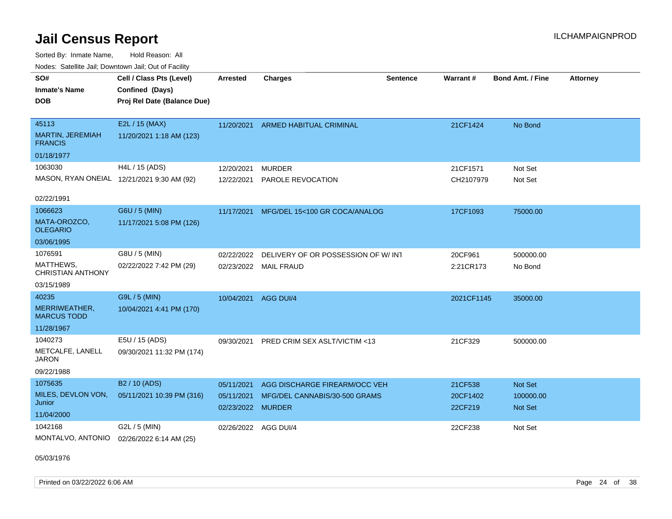Sorted By: Inmate Name, Hold Reason: All Nodes: Satellite Jail; Downtown Jail; Out of Facility

| i vuuto. Talelille Jall, Duwilluwii Jall, Out of Facility |                             |                                 |                                    |                 |                     |                             |                 |
|-----------------------------------------------------------|-----------------------------|---------------------------------|------------------------------------|-----------------|---------------------|-----------------------------|-----------------|
| SO#                                                       | Cell / Class Pts (Level)    | <b>Arrested</b>                 | <b>Charges</b>                     | <b>Sentence</b> | Warrant#            | <b>Bond Amt. / Fine</b>     | <b>Attorney</b> |
| <b>Inmate's Name</b>                                      | Confined (Days)             |                                 |                                    |                 |                     |                             |                 |
| <b>DOB</b>                                                | Proj Rel Date (Balance Due) |                                 |                                    |                 |                     |                             |                 |
|                                                           |                             |                                 |                                    |                 |                     |                             |                 |
| 45113                                                     | E2L / 15 (MAX)              | 11/20/2021                      | <b>ARMED HABITUAL CRIMINAL</b>     |                 | 21CF1424            | No Bond                     |                 |
| <b>MARTIN, JEREMIAH</b><br><b>FRANCIS</b>                 | 11/20/2021 1:18 AM (123)    |                                 |                                    |                 |                     |                             |                 |
| 01/18/1977                                                |                             |                                 |                                    |                 |                     |                             |                 |
| 1063030                                                   | H4L / 15 (ADS)              | 12/20/2021                      | <b>MURDER</b>                      |                 | 21CF1571            | Not Set                     |                 |
| MASON, RYAN ONEIAL 12/21/2021 9:30 AM (92)                |                             | 12/22/2021                      | PAROLE REVOCATION                  |                 | CH2107979           | Not Set                     |                 |
|                                                           |                             |                                 |                                    |                 |                     |                             |                 |
| 02/22/1991                                                |                             |                                 |                                    |                 |                     |                             |                 |
| 1066623                                                   | G6U / 5 (MIN)               | 11/17/2021                      | MFG/DEL 15<100 GR COCA/ANALOG      |                 | 17CF1093            | 75000.00                    |                 |
| MATA-OROZCO,<br><b>OLEGARIO</b>                           | 11/17/2021 5:08 PM (126)    |                                 |                                    |                 |                     |                             |                 |
| 03/06/1995                                                |                             |                                 |                                    |                 |                     |                             |                 |
| 1076591                                                   | G8U / 5 (MIN)               | 02/22/2022                      | DELIVERY OF OR POSSESSION OF W/INT |                 | 20CF961             | 500000.00                   |                 |
| MATTHEWS,<br><b>CHRISTIAN ANTHONY</b>                     | 02/22/2022 7:42 PM (29)     | 02/23/2022                      | MAIL FRAUD                         |                 | 2:21CR173           | No Bond                     |                 |
| 03/15/1989                                                |                             |                                 |                                    |                 |                     |                             |                 |
| 40235                                                     | G9L / 5 (MIN)               | 10/04/2021                      | AGG DUI/4                          |                 | 2021CF1145          | 35000.00                    |                 |
| MERRIWEATHER,<br><b>MARCUS TODD</b>                       | 10/04/2021 4:41 PM (170)    |                                 |                                    |                 |                     |                             |                 |
| 11/28/1967                                                |                             |                                 |                                    |                 |                     |                             |                 |
| 1040273                                                   | E5U / 15 (ADS)              | 09/30/2021                      | PRED CRIM SEX ASLT/VICTIM <13      |                 | 21CF329             | 500000.00                   |                 |
| METCALFE, LANELL<br><b>JARON</b>                          | 09/30/2021 11:32 PM (174)   |                                 |                                    |                 |                     |                             |                 |
| 09/22/1988                                                |                             |                                 |                                    |                 |                     |                             |                 |
| 1075635                                                   | B <sub>2</sub> / 10 (ADS)   | 05/11/2021                      | AGG DISCHARGE FIREARM/OCC VEH      |                 | 21CF538             | Not Set                     |                 |
| MILES, DEVLON VON,<br>Junior                              | 05/11/2021 10:39 PM (316)   | 05/11/2021<br>02/23/2022 MURDER | MFG/DEL CANNABIS/30-500 GRAMS      |                 | 20CF1402<br>22CF219 | 100000.00<br><b>Not Set</b> |                 |
| 11/04/2000                                                |                             |                                 |                                    |                 |                     |                             |                 |
| 1042168                                                   | G2L / 5 (MIN)               | 02/26/2022 AGG DUI/4            |                                    |                 | 22CF238             | Not Set                     |                 |
| MONTALVO, ANTONIO                                         | 02/26/2022 6:14 AM (25)     |                                 |                                    |                 |                     |                             |                 |

05/03/1976

Printed on 03/22/2022 6:06 AM Page 24 of 38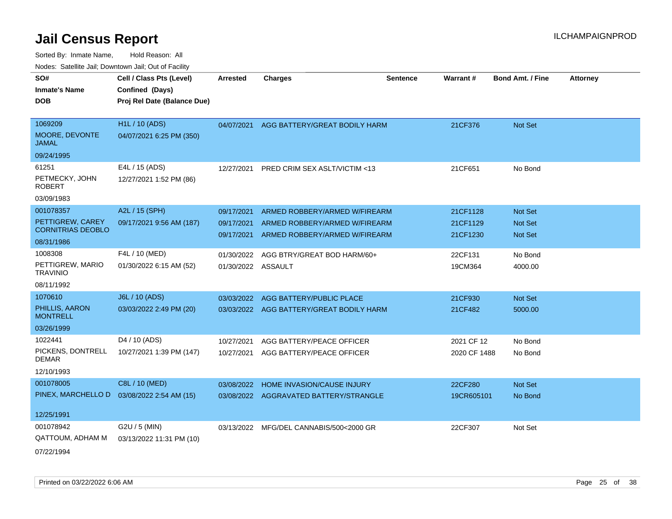| SO#                                          | Cell / Class Pts (Level)    | <b>Arrested</b>          | <b>Charges</b>                                                 | <b>Sentence</b> | <b>Warrant#</b> | <b>Bond Amt. / Fine</b>   | <b>Attorney</b> |
|----------------------------------------------|-----------------------------|--------------------------|----------------------------------------------------------------|-----------------|-----------------|---------------------------|-----------------|
| <b>Inmate's Name</b>                         | Confined (Days)             |                          |                                                                |                 |                 |                           |                 |
| <b>DOB</b>                                   | Proj Rel Date (Balance Due) |                          |                                                                |                 |                 |                           |                 |
|                                              |                             |                          |                                                                |                 |                 |                           |                 |
| 1069209                                      | <b>H1L / 10 (ADS)</b>       |                          | 04/07/2021 AGG BATTERY/GREAT BODILY HARM                       |                 | 21CF376         | Not Set                   |                 |
| MOORE, DEVONTE<br><b>JAMAL</b>               | 04/07/2021 6:25 PM (350)    |                          |                                                                |                 |                 |                           |                 |
| 09/24/1995                                   |                             |                          |                                                                |                 |                 |                           |                 |
| 61251                                        | E4L / 15 (ADS)              | 12/27/2021               | PRED CRIM SEX ASLT/VICTIM <13                                  |                 | 21CF651         | No Bond                   |                 |
| PETMECKY, JOHN<br><b>ROBERT</b>              | 12/27/2021 1:52 PM (86)     |                          |                                                                |                 |                 |                           |                 |
| 03/09/1983                                   |                             |                          |                                                                |                 |                 |                           |                 |
| 001078357                                    | A2L / 15 (SPH)              | 09/17/2021               | ARMED ROBBERY/ARMED W/FIREARM                                  |                 | 21CF1128        | Not Set                   |                 |
| PETTIGREW, CAREY<br><b>CORNITRIAS DEOBLO</b> | 09/17/2021 9:56 AM (187)    | 09/17/2021<br>09/17/2021 | ARMED ROBBERY/ARMED W/FIREARM<br>ARMED ROBBERY/ARMED W/FIREARM |                 | 21CF1129        | Not Set<br><b>Not Set</b> |                 |
| 08/31/1986                                   |                             |                          |                                                                |                 | 21CF1230        |                           |                 |
| 1008308                                      | F4L / 10 (MED)              | 01/30/2022               | AGG BTRY/GREAT BOD HARM/60+                                    |                 | 22CF131         | No Bond                   |                 |
| PETTIGREW, MARIO<br><b>TRAVINIO</b>          | 01/30/2022 6:15 AM (52)     | 01/30/2022 ASSAULT       |                                                                |                 | 19CM364         | 4000.00                   |                 |
| 08/11/1992                                   |                             |                          |                                                                |                 |                 |                           |                 |
| 1070610                                      | J6L / 10 (ADS)              | 03/03/2022               | AGG BATTERY/PUBLIC PLACE                                       |                 | 21CF930         | Not Set                   |                 |
| PHILLIS, AARON<br><b>MONTRELL</b>            | 03/03/2022 2:49 PM (20)     |                          | 03/03/2022 AGG BATTERY/GREAT BODILY HARM                       |                 | 21CF482         | 5000.00                   |                 |
| 03/26/1999                                   |                             |                          |                                                                |                 |                 |                           |                 |
| 1022441                                      | D <sub>4</sub> / 10 (ADS)   | 10/27/2021               | AGG BATTERY/PEACE OFFICER                                      |                 | 2021 CF 12      | No Bond                   |                 |
| PICKENS, DONTRELL<br><b>DEMAR</b>            | 10/27/2021 1:39 PM (147)    | 10/27/2021               | AGG BATTERY/PEACE OFFICER                                      |                 | 2020 CF 1488    | No Bond                   |                 |
| 12/10/1993                                   |                             |                          |                                                                |                 |                 |                           |                 |
| 001078005                                    | C8L / 10 (MED)              | 03/08/2022               | HOME INVASION/CAUSE INJURY                                     |                 | 22CF280         | Not Set                   |                 |
| PINEX, MARCHELLO D                           | 03/08/2022 2:54 AM (15)     |                          | 03/08/2022 AGGRAVATED BATTERY/STRANGLE                         |                 | 19CR605101      | No Bond                   |                 |
|                                              |                             |                          |                                                                |                 |                 |                           |                 |
| 12/25/1991                                   |                             |                          |                                                                |                 |                 |                           |                 |
| 001078942                                    | G2U / 5 (MIN)               |                          | 03/13/2022 MFG/DEL CANNABIS/500<2000 GR                        |                 | 22CF307         | Not Set                   |                 |
| QATTOUM, ADHAM M                             | 03/13/2022 11:31 PM (10)    |                          |                                                                |                 |                 |                           |                 |
| 07/22/1994                                   |                             |                          |                                                                |                 |                 |                           |                 |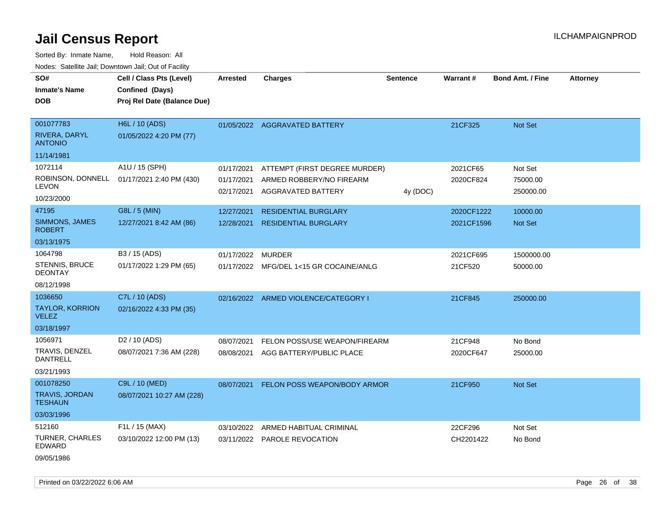Sorted By: Inmate Name, Hold Reason: All Nodes: Satellite Jail; Downtown Jail; Out of Facility

| voucs. Oatchite Jan, Downtown Jan, Out of Facility |                                                                            |            |                                     |                 |            |                         |                 |
|----------------------------------------------------|----------------------------------------------------------------------------|------------|-------------------------------------|-----------------|------------|-------------------------|-----------------|
| SO#<br><b>Inmate's Name</b><br><b>DOB</b>          | Cell / Class Pts (Level)<br>Confined (Days)<br>Proj Rel Date (Balance Due) | Arrested   | <b>Charges</b>                      | <b>Sentence</b> | Warrant#   | <b>Bond Amt. / Fine</b> | <b>Attorney</b> |
|                                                    |                                                                            |            |                                     |                 |            |                         |                 |
| 001077783                                          | H6L / 10 (ADS)                                                             |            | 01/05/2022 AGGRAVATED BATTERY       |                 | 21CF325    | Not Set                 |                 |
| RIVERA, DARYL<br><b>ANTONIO</b>                    | 01/05/2022 4:20 PM (77)                                                    |            |                                     |                 |            |                         |                 |
| 11/14/1981                                         |                                                                            |            |                                     |                 |            |                         |                 |
| 1072114                                            | A1U / 15 (SPH)                                                             | 01/17/2021 | ATTEMPT (FIRST DEGREE MURDER)       |                 | 2021CF65   | Not Set                 |                 |
| <b>LEVON</b>                                       | ROBINSON, DONNELL 01/17/2021 2:40 PM (430)                                 | 01/17/2021 | ARMED ROBBERY/NO FIREARM            |                 | 2020CF824  | 75000.00                |                 |
| 10/23/2000                                         |                                                                            | 02/17/2021 | AGGRAVATED BATTERY                  | 4y (DOC)        |            | 250000.00               |                 |
| 47195                                              | G8L / 5 (MIN)                                                              | 12/27/2021 | <b>RESIDENTIAL BURGLARY</b>         |                 | 2020CF1222 | 10000.00                |                 |
| SIMMONS, JAMES<br><b>ROBERT</b>                    | 12/27/2021 8:42 AM (86)                                                    | 12/28/2021 | <b>RESIDENTIAL BURGLARY</b>         |                 | 2021CF1596 | <b>Not Set</b>          |                 |
| 03/13/1975                                         |                                                                            |            |                                     |                 |            |                         |                 |
| 1064798                                            | B3 / 15 (ADS)                                                              | 01/17/2022 | <b>MURDER</b>                       |                 | 2021CF695  | 1500000.00              |                 |
| <b>STENNIS, BRUCE</b><br><b>DEONTAY</b>            | 01/17/2022 1:29 PM (65)                                                    | 01/17/2022 | MFG/DEL 1<15 GR COCAINE/ANLG        |                 | 21CF520    | 50000.00                |                 |
| 08/12/1998                                         |                                                                            |            |                                     |                 |            |                         |                 |
| 1036650                                            | C7L / 10 (ADS)                                                             | 02/16/2022 | ARMED VIOLENCE/CATEGORY I           |                 | 21CF845    | 250000.00               |                 |
| <b>TAYLOR, KORRION</b><br><b>VELEZ</b>             | 02/16/2022 4:33 PM (35)                                                    |            |                                     |                 |            |                         |                 |
| 03/18/1997                                         |                                                                            |            |                                     |                 |            |                         |                 |
| 1056971                                            | D <sub>2</sub> / 10 (ADS)                                                  | 08/07/2021 | FELON POSS/USE WEAPON/FIREARM       |                 | 21CF948    | No Bond                 |                 |
| TRAVIS, DENZEL<br><b>DANTRELL</b>                  | 08/07/2021 7:36 AM (228)                                                   | 08/08/2021 | AGG BATTERY/PUBLIC PLACE            |                 | 2020CF647  | 25000.00                |                 |
| 03/21/1993                                         |                                                                            |            |                                     |                 |            |                         |                 |
| 001078250                                          | C9L / 10 (MED)                                                             | 08/07/2021 | <b>FELON POSS WEAPON/BODY ARMOR</b> |                 | 21CF950    | Not Set                 |                 |
| <b>TRAVIS, JORDAN</b><br><b>TESHAUN</b>            | 08/07/2021 10:27 AM (228)                                                  |            |                                     |                 |            |                         |                 |
| 03/03/1996                                         |                                                                            |            |                                     |                 |            |                         |                 |
| 512160                                             | F1L / 15 (MAX)                                                             | 03/10/2022 | ARMED HABITUAL CRIMINAL             |                 | 22CF296    | Not Set                 |                 |
| TURNER, CHARLES<br>EDWARD                          | 03/10/2022 12:00 PM (13)                                                   |            | 03/11/2022 PAROLE REVOCATION        |                 | CH2201422  | No Bond                 |                 |

09/05/1986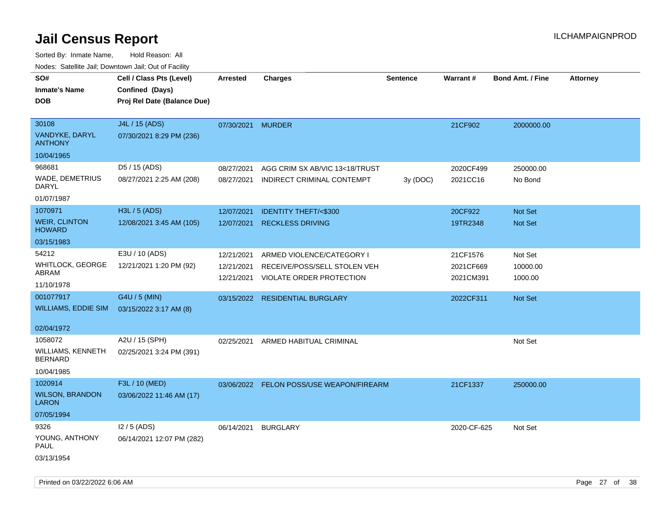| roaco. Catolino cali, Domntonn cali, Out of Facility |                             |                 |                                          |                 |             |                         |                 |
|------------------------------------------------------|-----------------------------|-----------------|------------------------------------------|-----------------|-------------|-------------------------|-----------------|
| SO#                                                  | Cell / Class Pts (Level)    | <b>Arrested</b> | <b>Charges</b>                           | <b>Sentence</b> | Warrant#    | <b>Bond Amt. / Fine</b> | <b>Attorney</b> |
| <b>Inmate's Name</b>                                 | Confined (Days)             |                 |                                          |                 |             |                         |                 |
| <b>DOB</b>                                           | Proj Rel Date (Balance Due) |                 |                                          |                 |             |                         |                 |
|                                                      |                             |                 |                                          |                 |             |                         |                 |
| 30108                                                | J4L / 15 (ADS)              | 07/30/2021      | <b>MURDER</b>                            |                 | 21CF902     | 2000000.00              |                 |
| VANDYKE, DARYL<br><b>ANTHONY</b>                     | 07/30/2021 8:29 PM (236)    |                 |                                          |                 |             |                         |                 |
| 10/04/1965                                           |                             |                 |                                          |                 |             |                         |                 |
| 968681                                               | D5 / 15 (ADS)               | 08/27/2021      | AGG CRIM SX AB/VIC 13<18/TRUST           |                 | 2020CF499   | 250000.00               |                 |
| WADE, DEMETRIUS<br>DARYL                             | 08/27/2021 2:25 AM (208)    | 08/27/2021      | INDIRECT CRIMINAL CONTEMPT               | 3y (DOC)        | 2021CC16    | No Bond                 |                 |
| 01/07/1987                                           |                             |                 |                                          |                 |             |                         |                 |
| 1070971                                              | H3L / 5 (ADS)               | 12/07/2021      | <b>IDENTITY THEFT/&lt;\$300</b>          |                 | 20CF922     | Not Set                 |                 |
| <b>WEIR, CLINTON</b><br><b>HOWARD</b>                | 12/08/2021 3:45 AM (105)    | 12/07/2021      | <b>RECKLESS DRIVING</b>                  |                 | 19TR2348    | Not Set                 |                 |
| 03/15/1983                                           |                             |                 |                                          |                 |             |                         |                 |
| 54212                                                | E3U / 10 (ADS)              | 12/21/2021      | ARMED VIOLENCE/CATEGORY I                |                 | 21CF1576    | Not Set                 |                 |
| WHITLOCK, GEORGE                                     | 12/21/2021 1:20 PM (92)     | 12/21/2021      | RECEIVE/POSS/SELL STOLEN VEH             |                 | 2021CF669   | 10000.00                |                 |
| ABRAM                                                |                             | 12/21/2021      | VIOLATE ORDER PROTECTION                 |                 | 2021CM391   | 1000.00                 |                 |
| 11/10/1978                                           |                             |                 |                                          |                 |             |                         |                 |
| 001077917                                            | G4U / 5 (MIN)               |                 | 03/15/2022 RESIDENTIAL BURGLARY          |                 | 2022CF311   | Not Set                 |                 |
| <b>WILLIAMS, EDDIE SIM</b>                           | 03/15/2022 3:17 AM (8)      |                 |                                          |                 |             |                         |                 |
|                                                      |                             |                 |                                          |                 |             |                         |                 |
| 02/04/1972                                           |                             |                 |                                          |                 |             |                         |                 |
| 1058072                                              | A2U / 15 (SPH)              | 02/25/2021      | ARMED HABITUAL CRIMINAL                  |                 |             | Not Set                 |                 |
| <b>WILLIAMS, KENNETH</b><br><b>BERNARD</b>           | 02/25/2021 3:24 PM (391)    |                 |                                          |                 |             |                         |                 |
| 10/04/1985                                           |                             |                 |                                          |                 |             |                         |                 |
| 1020914                                              | F3L / 10 (MED)              |                 | 03/06/2022 FELON POSS/USE WEAPON/FIREARM |                 | 21CF1337    | 250000.00               |                 |
| <b>WILSON, BRANDON</b><br><b>LARON</b>               | 03/06/2022 11:46 AM (17)    |                 |                                          |                 |             |                         |                 |
| 07/05/1994                                           |                             |                 |                                          |                 |             |                         |                 |
| 9326                                                 | $12/5$ (ADS)                | 06/14/2021      | <b>BURGLARY</b>                          |                 | 2020-CF-625 | Not Set                 |                 |
| YOUNG, ANTHONY<br>PAUL                               | 06/14/2021 12:07 PM (282)   |                 |                                          |                 |             |                         |                 |
| 03/13/1954                                           |                             |                 |                                          |                 |             |                         |                 |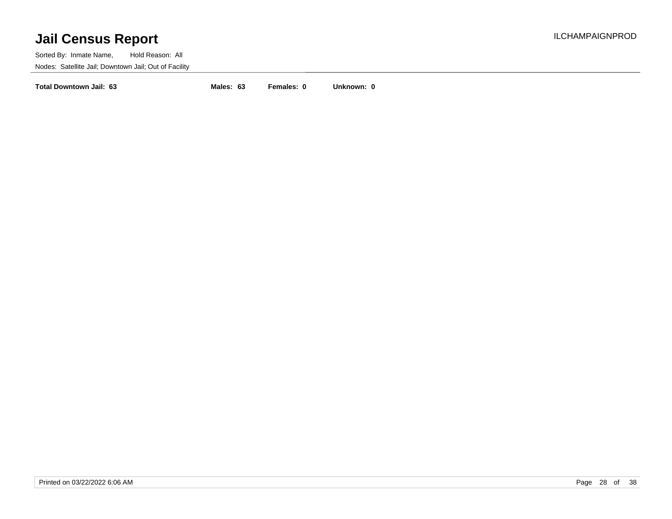Sorted By: Inmate Name, Hold Reason: All Nodes: Satellite Jail; Downtown Jail; Out of Facility

**Total Downtown Jail: 63 Males: 63 Females: 0 Unknown: 0**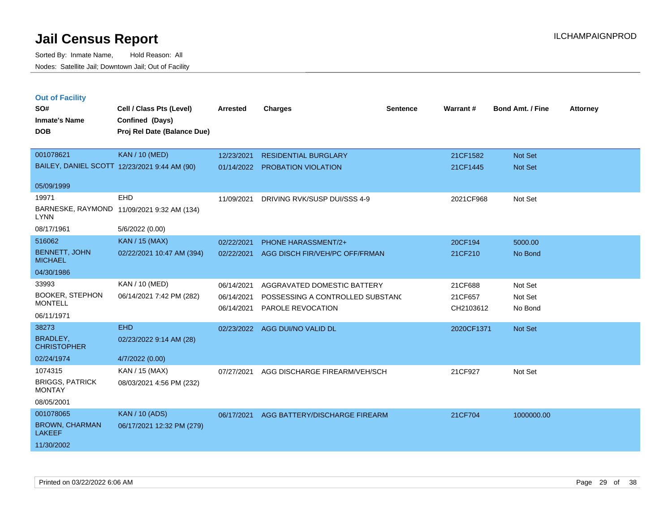Sorted By: Inmate Name, Hold Reason: All Nodes: Satellite Jail; Downtown Jail; Out of Facility

| <b>Out of Facility</b><br>SO#<br><b>Inmate's Name</b><br><b>DOB</b> | Cell / Class Pts (Level)<br>Confined (Days)<br>Proj Rel Date (Balance Due) | <b>Arrested</b>          | <b>Charges</b>                                                  | <b>Sentence</b> | <b>Warrant#</b>      | <b>Bond Amt. / Fine</b> | <b>Attorney</b> |
|---------------------------------------------------------------------|----------------------------------------------------------------------------|--------------------------|-----------------------------------------------------------------|-----------------|----------------------|-------------------------|-----------------|
| 001078621                                                           | <b>KAN / 10 (MED)</b>                                                      | 12/23/2021               | <b>RESIDENTIAL BURGLARY</b>                                     |                 | 21CF1582             | <b>Not Set</b>          |                 |
| BAILEY, DANIEL SCOTT 12/23/2021 9:44 AM (90)                        |                                                                            | 01/14/2022               | <b>PROBATION VIOLATION</b>                                      |                 | 21CF1445             | <b>Not Set</b>          |                 |
| 05/09/1999                                                          |                                                                            |                          |                                                                 |                 |                      |                         |                 |
| 19971<br><b>LYNN</b>                                                | EHD<br>BARNESKE, RAYMOND 11/09/2021 9:32 AM (134)                          | 11/09/2021               | DRIVING RVK/SUSP DUI/SSS 4-9                                    |                 | 2021CF968            | Not Set                 |                 |
| 08/17/1961                                                          | 5/6/2022 (0.00)                                                            |                          |                                                                 |                 |                      |                         |                 |
| 516062                                                              | <b>KAN / 15 (MAX)</b>                                                      | 02/22/2021               | <b>PHONE HARASSMENT/2+</b>                                      |                 | 20CF194              | 5000.00                 |                 |
| <b>BENNETT, JOHN</b><br><b>MICHAEL</b>                              | 02/22/2021 10:47 AM (394)                                                  | 02/22/2021               | AGG DISCH FIR/VEH/PC OFF/FRMAN                                  |                 | 21CF210              | No Bond                 |                 |
| 04/30/1986                                                          |                                                                            |                          |                                                                 |                 |                      |                         |                 |
| 33993<br><b>BOOKER, STEPHON</b>                                     | KAN / 10 (MED)<br>06/14/2021 7:42 PM (282)                                 | 06/14/2021               | AGGRAVATED DOMESTIC BATTERY<br>POSSESSING A CONTROLLED SUBSTANC |                 | 21CF688              | Not Set                 |                 |
| <b>MONTELL</b>                                                      |                                                                            | 06/14/2021<br>06/14/2021 | PAROLE REVOCATION                                               |                 | 21CF657<br>CH2103612 | Not Set<br>No Bond      |                 |
| 06/11/1971                                                          |                                                                            |                          |                                                                 |                 |                      |                         |                 |
| 38273                                                               | <b>EHD</b>                                                                 | 02/23/2022               | AGG DUI/NO VALID DL                                             |                 | 2020CF1371           | <b>Not Set</b>          |                 |
| <b>BRADLEY,</b><br><b>CHRISTOPHER</b>                               | 02/23/2022 9:14 AM (28)                                                    |                          |                                                                 |                 |                      |                         |                 |
| 02/24/1974                                                          | 4/7/2022 (0.00)                                                            |                          |                                                                 |                 |                      |                         |                 |
| 1074315                                                             | KAN / 15 (MAX)                                                             | 07/27/2021               | AGG DISCHARGE FIREARM/VEH/SCH                                   |                 | 21CF927              | Not Set                 |                 |
| <b>BRIGGS, PATRICK</b><br><b>MONTAY</b>                             | 08/03/2021 4:56 PM (232)                                                   |                          |                                                                 |                 |                      |                         |                 |
| 08/05/2001                                                          |                                                                            |                          |                                                                 |                 |                      |                         |                 |
| 001078065                                                           | <b>KAN / 10 (ADS)</b>                                                      | 06/17/2021               | AGG BATTERY/DISCHARGE FIREARM                                   |                 | 21CF704              | 1000000.00              |                 |
| <b>BROWN, CHARMAN</b><br><b>LAKEEF</b>                              | 06/17/2021 12:32 PM (279)                                                  |                          |                                                                 |                 |                      |                         |                 |

11/30/2002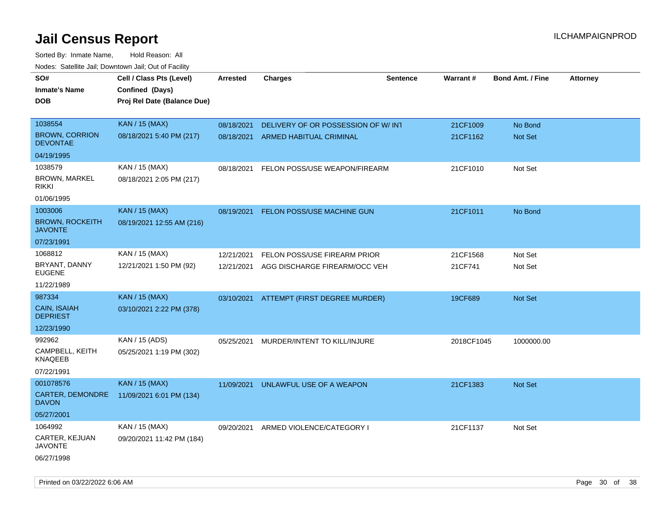| <u>Rodos.</u> Odiolino dali, Downtown dali, Odi of Fabilit |                             |            |                                      |                 |            |                         |                 |
|------------------------------------------------------------|-----------------------------|------------|--------------------------------------|-----------------|------------|-------------------------|-----------------|
| SO#                                                        | Cell / Class Pts (Level)    | Arrested   | <b>Charges</b>                       | <b>Sentence</b> | Warrant#   | <b>Bond Amt. / Fine</b> | <b>Attorney</b> |
| <b>Inmate's Name</b>                                       | Confined (Days)             |            |                                      |                 |            |                         |                 |
| <b>DOB</b>                                                 | Proj Rel Date (Balance Due) |            |                                      |                 |            |                         |                 |
|                                                            |                             |            |                                      |                 |            |                         |                 |
| 1038554                                                    | KAN / 15 (MAX)              | 08/18/2021 | DELIVERY OF OR POSSESSION OF W/INT   |                 | 21CF1009   | No Bond                 |                 |
| <b>BROWN, CORRION</b><br><b>DEVONTAE</b>                   | 08/18/2021 5:40 PM (217)    | 08/18/2021 | ARMED HABITUAL CRIMINAL              |                 | 21CF1162   | Not Set                 |                 |
| 04/19/1995                                                 |                             |            |                                      |                 |            |                         |                 |
| 1038579                                                    | KAN / 15 (MAX)              | 08/18/2021 | FELON POSS/USE WEAPON/FIREARM        |                 | 21CF1010   | Not Set                 |                 |
| BROWN, MARKEL<br><b>RIKKI</b>                              | 08/18/2021 2:05 PM (217)    |            |                                      |                 |            |                         |                 |
| 01/06/1995                                                 |                             |            |                                      |                 |            |                         |                 |
| 1003006                                                    | <b>KAN / 15 (MAX)</b>       | 08/19/2021 | FELON POSS/USE MACHINE GUN           |                 | 21CF1011   | No Bond                 |                 |
| <b>BROWN, ROCKEITH</b><br><b>JAVONTE</b>                   | 08/19/2021 12:55 AM (216)   |            |                                      |                 |            |                         |                 |
| 07/23/1991                                                 |                             |            |                                      |                 |            |                         |                 |
| 1068812                                                    | KAN / 15 (MAX)              | 12/21/2021 | FELON POSS/USE FIREARM PRIOR         |                 | 21CF1568   | Not Set                 |                 |
| BRYANT, DANNY<br><b>EUGENE</b>                             | 12/21/2021 1:50 PM (92)     | 12/21/2021 | AGG DISCHARGE FIREARM/OCC VEH        |                 | 21CF741    | Not Set                 |                 |
| 11/22/1989                                                 |                             |            |                                      |                 |            |                         |                 |
| 987334                                                     | KAN / 15 (MAX)              | 03/10/2021 | ATTEMPT (FIRST DEGREE MURDER)        |                 | 19CF689    | Not Set                 |                 |
| CAIN, ISAIAH<br><b>DEPRIEST</b>                            | 03/10/2021 2:22 PM (378)    |            |                                      |                 |            |                         |                 |
| 12/23/1990                                                 |                             |            |                                      |                 |            |                         |                 |
| 992962                                                     | KAN / 15 (ADS)              | 05/25/2021 | MURDER/INTENT TO KILL/INJURE         |                 | 2018CF1045 | 1000000.00              |                 |
| CAMPBELL, KEITH<br><b>KNAQEEB</b>                          | 05/25/2021 1:19 PM (302)    |            |                                      |                 |            |                         |                 |
| 07/22/1991                                                 |                             |            |                                      |                 |            |                         |                 |
| 001078576                                                  | <b>KAN / 15 (MAX)</b>       | 11/09/2021 | UNLAWFUL USE OF A WEAPON             |                 | 21CF1383   | <b>Not Set</b>          |                 |
| <b>CARTER, DEMONDRE</b><br><b>DAVON</b>                    | 11/09/2021 6:01 PM (134)    |            |                                      |                 |            |                         |                 |
| 05/27/2001                                                 |                             |            |                                      |                 |            |                         |                 |
| 1064992                                                    | KAN / 15 (MAX)              |            | 09/20/2021 ARMED VIOLENCE/CATEGORY I |                 | 21CF1137   | Not Set                 |                 |
| CARTER, KEJUAN<br><b>JAVONTE</b>                           | 09/20/2021 11:42 PM (184)   |            |                                      |                 |            |                         |                 |
| 06/27/1998                                                 |                             |            |                                      |                 |            |                         |                 |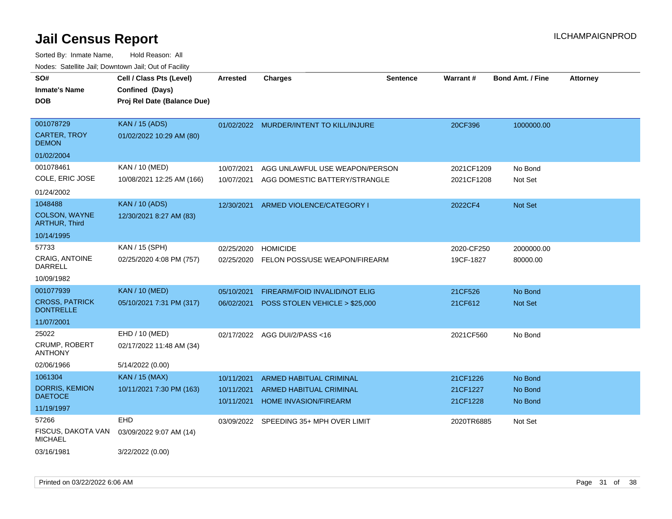| SO#                                          | Cell / Class Pts (Level)    | <b>Arrested</b> | <b>Charges</b>                                          | <b>Sentence</b> | <b>Warrant#</b>      | <b>Bond Amt. / Fine</b> | <b>Attorney</b> |
|----------------------------------------------|-----------------------------|-----------------|---------------------------------------------------------|-----------------|----------------------|-------------------------|-----------------|
| <b>Inmate's Name</b>                         | Confined (Days)             |                 |                                                         |                 |                      |                         |                 |
| <b>DOB</b>                                   | Proj Rel Date (Balance Due) |                 |                                                         |                 |                      |                         |                 |
| 001078729                                    | <b>KAN / 15 (ADS)</b>       |                 | 01/02/2022 MURDER/INTENT TO KILL/INJURE                 |                 | 20CF396              | 1000000.00              |                 |
| <b>CARTER, TROY</b><br><b>DEMON</b>          | 01/02/2022 10:29 AM (80)    |                 |                                                         |                 |                      |                         |                 |
| 01/02/2004                                   |                             |                 |                                                         |                 |                      |                         |                 |
| 001078461                                    | KAN / 10 (MED)              | 10/07/2021      | AGG UNLAWFUL USE WEAPON/PERSON                          |                 | 2021CF1209           | No Bond                 |                 |
| COLE, ERIC JOSE                              | 10/08/2021 12:25 AM (166)   | 10/07/2021      | AGG DOMESTIC BATTERY/STRANGLE                           |                 | 2021CF1208           | Not Set                 |                 |
| 01/24/2002                                   |                             |                 |                                                         |                 |                      |                         |                 |
| 1048488                                      | <b>KAN / 10 (ADS)</b>       | 12/30/2021      | ARMED VIOLENCE/CATEGORY I                               |                 | 2022CF4              | Not Set                 |                 |
| <b>COLSON, WAYNE</b><br><b>ARTHUR, Third</b> | 12/30/2021 8:27 AM (83)     |                 |                                                         |                 |                      |                         |                 |
| 10/14/1995                                   |                             |                 |                                                         |                 |                      |                         |                 |
| 57733                                        | KAN / 15 (SPH)              | 02/25/2020      | <b>HOMICIDE</b>                                         |                 | 2020-CF250           | 2000000.00              |                 |
| CRAIG, ANTOINE<br><b>DARRELL</b>             | 02/25/2020 4:08 PM (757)    | 02/25/2020      | FELON POSS/USE WEAPON/FIREARM                           |                 | 19CF-1827            | 80000.00                |                 |
| 10/09/1982                                   |                             |                 |                                                         |                 |                      |                         |                 |
| 001077939                                    | <b>KAN / 10 (MED)</b>       | 05/10/2021      | FIREARM/FOID INVALID/NOT ELIG                           |                 | 21CF526              | No Bond                 |                 |
| <b>CROSS, PATRICK</b><br><b>DONTRELLE</b>    | 05/10/2021 7:31 PM (317)    | 06/02/2021      | POSS STOLEN VEHICLE > \$25,000                          |                 | 21CF612              | Not Set                 |                 |
| 11/07/2001                                   |                             |                 |                                                         |                 |                      |                         |                 |
| 25022                                        | EHD / 10 (MED)              | 02/17/2022      | AGG DUI/2/PASS <16                                      |                 | 2021CF560            | No Bond                 |                 |
| <b>CRUMP, ROBERT</b><br><b>ANTHONY</b>       | 02/17/2022 11:48 AM (34)    |                 |                                                         |                 |                      |                         |                 |
| 02/06/1966                                   | 5/14/2022 (0.00)            |                 |                                                         |                 |                      |                         |                 |
| 1061304                                      | <b>KAN / 15 (MAX)</b>       | 10/11/2021      | ARMED HABITUAL CRIMINAL                                 |                 | 21CF1226             | No Bond                 |                 |
| <b>DORRIS, KEMION</b><br><b>DAETOCE</b>      | 10/11/2021 7:30 PM (163)    | 10/11/2021      | ARMED HABITUAL CRIMINAL<br><b>HOME INVASION/FIREARM</b> |                 | 21CF1227<br>21CF1228 | No Bond                 |                 |
| 11/19/1997                                   |                             | 10/11/2021      |                                                         |                 |                      | No Bond                 |                 |
| 57266                                        | <b>EHD</b>                  |                 | 03/09/2022 SPEEDING 35+ MPH OVER LIMIT                  |                 | 2020TR6885           | Not Set                 |                 |
| FISCUS, DAKOTA VAN<br><b>MICHAEL</b>         | 03/09/2022 9:07 AM (14)     |                 |                                                         |                 |                      |                         |                 |
| 03/16/1981                                   | 3/22/2022 (0.00)            |                 |                                                         |                 |                      |                         |                 |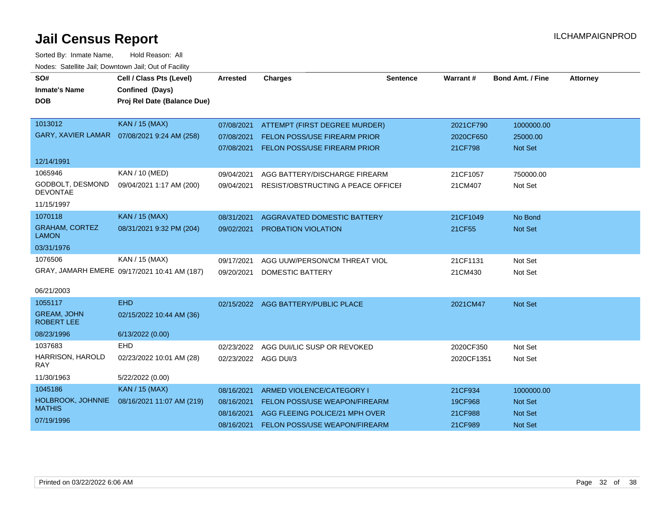| SO#<br><b>Inmate's Name</b>             | Cell / Class Pts (Level)<br>Confined (Days)  | <b>Arrested</b>      | <b>Charges</b>                            | <b>Sentence</b> | <b>Warrant#</b> | <b>Bond Amt. / Fine</b> | <b>Attorney</b> |
|-----------------------------------------|----------------------------------------------|----------------------|-------------------------------------------|-----------------|-----------------|-------------------------|-----------------|
| <b>DOB</b>                              | Proj Rel Date (Balance Due)                  |                      |                                           |                 |                 |                         |                 |
|                                         |                                              |                      |                                           |                 |                 |                         |                 |
| 1013012                                 | <b>KAN / 15 (MAX)</b>                        | 07/08/2021           | ATTEMPT (FIRST DEGREE MURDER)             |                 | 2021CF790       | 1000000.00              |                 |
| <b>GARY, XAVIER LAMAR</b>               | 07/08/2021 9:24 AM (258)                     | 07/08/2021           | <b>FELON POSS/USE FIREARM PRIOR</b>       |                 | 2020CF650       | 25000.00                |                 |
|                                         |                                              | 07/08/2021           | <b>FELON POSS/USE FIREARM PRIOR</b>       |                 | 21CF798         | <b>Not Set</b>          |                 |
| 12/14/1991                              |                                              |                      |                                           |                 |                 |                         |                 |
| 1065946                                 | KAN / 10 (MED)                               | 09/04/2021           | AGG BATTERY/DISCHARGE FIREARM             |                 | 21CF1057        | 750000.00               |                 |
| GODBOLT, DESMOND                        | 09/04/2021 1:17 AM (200)                     | 09/04/2021           | <b>RESIST/OBSTRUCTING A PEACE OFFICEF</b> |                 | 21CM407         | Not Set                 |                 |
| <b>DEVONTAE</b>                         |                                              |                      |                                           |                 |                 |                         |                 |
| 11/15/1997                              |                                              |                      |                                           |                 |                 |                         |                 |
| 1070118                                 | <b>KAN / 15 (MAX)</b>                        | 08/31/2021           | <b>AGGRAVATED DOMESTIC BATTERY</b>        |                 | 21CF1049        | No Bond                 |                 |
| <b>GRAHAM, CORTEZ</b><br><b>LAMON</b>   | 08/31/2021 9:32 PM (204)                     | 09/02/2021           | PROBATION VIOLATION                       |                 | 21CF55          | <b>Not Set</b>          |                 |
| 03/31/1976                              |                                              |                      |                                           |                 |                 |                         |                 |
| 1076506                                 | KAN / 15 (MAX)                               | 09/17/2021           | AGG UUW/PERSON/CM THREAT VIOL             |                 | 21CF1131        | Not Set                 |                 |
|                                         | GRAY, JAMARH EMERE 09/17/2021 10:41 AM (187) | 09/20/2021           | <b>DOMESTIC BATTERY</b>                   |                 | 21CM430         | Not Set                 |                 |
| 06/21/2003                              |                                              |                      |                                           |                 |                 |                         |                 |
| 1055117                                 | <b>EHD</b>                                   | 02/15/2022           | AGG BATTERY/PUBLIC PLACE                  |                 | 2021CM47        | <b>Not Set</b>          |                 |
| <b>GREAM, JOHN</b><br><b>ROBERT LEE</b> | 02/15/2022 10:44 AM (36)                     |                      |                                           |                 |                 |                         |                 |
| 08/23/1996                              | 6/13/2022 (0.00)                             |                      |                                           |                 |                 |                         |                 |
| 1037683                                 | EHD                                          | 02/23/2022           | AGG DUI/LIC SUSP OR REVOKED               |                 | 2020CF350       | Not Set                 |                 |
| HARRISON, HAROLD<br><b>RAY</b>          | 02/23/2022 10:01 AM (28)                     | 02/23/2022 AGG DUI/3 |                                           |                 | 2020CF1351      | Not Set                 |                 |
| 11/30/1963                              | 5/22/2022 (0.00)                             |                      |                                           |                 |                 |                         |                 |
| 1045186                                 | <b>KAN / 15 (MAX)</b>                        | 08/16/2021           | ARMED VIOLENCE/CATEGORY I                 |                 | 21CF934         | 1000000.00              |                 |
| HOLBROOK, JOHNNIE                       | 08/16/2021 11:07 AM (219)                    | 08/16/2021           | FELON POSS/USE WEAPON/FIREARM             |                 | 19CF968         | <b>Not Set</b>          |                 |
| <b>MATHIS</b>                           |                                              | 08/16/2021           | AGG FLEEING POLICE/21 MPH OVER            |                 | 21CF988         | Not Set                 |                 |
| 07/19/1996                              |                                              | 08/16/2021           | FELON POSS/USE WEAPON/FIREARM             |                 | 21CF989         | Not Set                 |                 |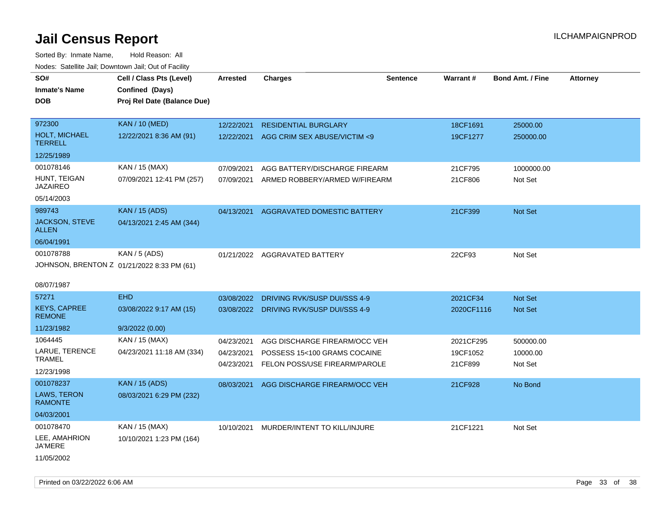Sorted By: Inmate Name, Hold Reason: All Nodes: Satellite Jail; Downtown Jail; Out of Facility

| roacs. Catellite Jall, Downtown Jall, Out of Facility |                                                                            |                 |                                         |                 |            |                         |                 |
|-------------------------------------------------------|----------------------------------------------------------------------------|-----------------|-----------------------------------------|-----------------|------------|-------------------------|-----------------|
| SO#<br><b>Inmate's Name</b><br><b>DOB</b>             | Cell / Class Pts (Level)<br>Confined (Days)<br>Proj Rel Date (Balance Due) | <b>Arrested</b> | <b>Charges</b>                          | <b>Sentence</b> | Warrant#   | <b>Bond Amt. / Fine</b> | <b>Attorney</b> |
|                                                       |                                                                            |                 |                                         |                 |            |                         |                 |
| 972300                                                | <b>KAN / 10 (MED)</b>                                                      | 12/22/2021      | <b>RESIDENTIAL BURGLARY</b>             |                 | 18CF1691   | 25000.00                |                 |
| <b>HOLT, MICHAEL</b><br><b>TERRELL</b>                | 12/22/2021 8:36 AM (91)                                                    | 12/22/2021      | AGG CRIM SEX ABUSE/VICTIM <9            |                 | 19CF1277   | 250000.00               |                 |
| 12/25/1989                                            |                                                                            |                 |                                         |                 |            |                         |                 |
| 001078146                                             | KAN / 15 (MAX)                                                             | 07/09/2021      | AGG BATTERY/DISCHARGE FIREARM           |                 | 21CF795    | 1000000.00              |                 |
| HUNT, TEIGAN<br><b>JAZAIREO</b>                       | 07/09/2021 12:41 PM (257)                                                  | 07/09/2021      | ARMED ROBBERY/ARMED W/FIREARM           |                 | 21CF806    | Not Set                 |                 |
| 05/14/2003                                            |                                                                            |                 |                                         |                 |            |                         |                 |
| 989743                                                | <b>KAN / 15 (ADS)</b>                                                      | 04/13/2021      | AGGRAVATED DOMESTIC BATTERY             |                 | 21CF399    | Not Set                 |                 |
| <b>JACKSON, STEVE</b><br><b>ALLEN</b>                 | 04/13/2021 2:45 AM (344)                                                   |                 |                                         |                 |            |                         |                 |
| 06/04/1991                                            |                                                                            |                 |                                         |                 |            |                         |                 |
| 001078788                                             | KAN / 5 (ADS)                                                              |                 | 01/21/2022 AGGRAVATED BATTERY           |                 | 22CF93     | Not Set                 |                 |
|                                                       | JOHNSON, BRENTON Z 01/21/2022 8:33 PM (61)                                 |                 |                                         |                 |            |                         |                 |
|                                                       |                                                                            |                 |                                         |                 |            |                         |                 |
| 08/07/1987                                            |                                                                            |                 |                                         |                 |            |                         |                 |
| 57271                                                 | <b>EHD</b>                                                                 | 03/08/2022      | DRIVING RVK/SUSP DUI/SSS 4-9            |                 | 2021CF34   | <b>Not Set</b>          |                 |
| <b>KEYS, CAPREE</b><br><b>REMONE</b>                  | 03/08/2022 9:17 AM (15)                                                    |                 | 03/08/2022 DRIVING RVK/SUSP DUI/SSS 4-9 |                 | 2020CF1116 | Not Set                 |                 |
| 11/23/1982                                            | 9/3/2022(0.00)                                                             |                 |                                         |                 |            |                         |                 |
| 1064445                                               | KAN / 15 (MAX)                                                             | 04/23/2021      | AGG DISCHARGE FIREARM/OCC VEH           |                 | 2021CF295  | 500000.00               |                 |
| LARUE, TERENCE                                        | 04/23/2021 11:18 AM (334)                                                  | 04/23/2021      | POSSESS 15<100 GRAMS COCAINE            |                 | 19CF1052   | 10000.00                |                 |
| <b>TRAMEL</b>                                         |                                                                            | 04/23/2021      | FELON POSS/USE FIREARM/PAROLE           |                 | 21CF899    | Not Set                 |                 |
| 12/23/1998                                            |                                                                            |                 |                                         |                 |            |                         |                 |
| 001078237                                             | <b>KAN / 15 (ADS)</b>                                                      | 08/03/2021      | AGG DISCHARGE FIREARM/OCC VEH           |                 | 21CF928    | No Bond                 |                 |
| LAWS, TERON<br><b>RAMONTE</b>                         | 08/03/2021 6:29 PM (232)                                                   |                 |                                         |                 |            |                         |                 |
| 04/03/2001                                            |                                                                            |                 |                                         |                 |            |                         |                 |
| 001078470                                             | KAN / 15 (MAX)                                                             |                 | 10/10/2021 MURDER/INTENT TO KILL/INJURE |                 | 21CF1221   | Not Set                 |                 |
| LEE, AMAHRION<br>JA'MERE                              | 10/10/2021 1:23 PM (164)                                                   |                 |                                         |                 |            |                         |                 |
| 11/05/2002                                            |                                                                            |                 |                                         |                 |            |                         |                 |

Printed on 03/22/2022 6:06 AM Page 33 of 38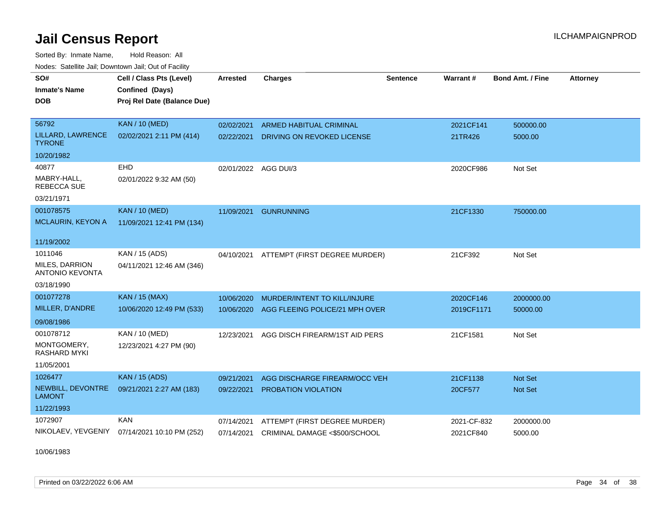Sorted By: Inmate Name, Hold Reason: All Nodes: Satellite Jail; Downtown Jail; Out of Facility

| SO#<br><b>Inmate's Name</b><br><b>DOB</b>       | Cell / Class Pts (Level)<br>Confined (Days)<br>Proj Rel Date (Balance Due) | Arrested             | <b>Charges</b>                 | <b>Sentence</b> | Warrant#    | Bond Amt. / Fine | <b>Attorney</b> |
|-------------------------------------------------|----------------------------------------------------------------------------|----------------------|--------------------------------|-----------------|-------------|------------------|-----------------|
| 56792                                           | <b>KAN / 10 (MED)</b>                                                      | 02/02/2021           | <b>ARMED HABITUAL CRIMINAL</b> |                 | 2021CF141   | 500000.00        |                 |
| LILLARD, LAWRENCE<br><b>TYRONE</b>              | 02/02/2021 2:11 PM (414)                                                   | 02/22/2021           | DRIVING ON REVOKED LICENSE     |                 | 21TR426     | 5000.00          |                 |
| 10/20/1982                                      |                                                                            |                      |                                |                 |             |                  |                 |
| 40877                                           | EHD                                                                        | 02/01/2022 AGG DUI/3 |                                |                 | 2020CF986   | Not Set          |                 |
| MABRY-HALL,<br><b>REBECCA SUE</b>               | 02/01/2022 9:32 AM (50)                                                    |                      |                                |                 |             |                  |                 |
| 03/21/1971                                      |                                                                            |                      |                                |                 |             |                  |                 |
| 001078575                                       | <b>KAN / 10 (MED)</b>                                                      | 11/09/2021           | <b>GUNRUNNING</b>              |                 | 21CF1330    | 750000.00        |                 |
| <b>MCLAURIN, KEYON A</b>                        | 11/09/2021 12:41 PM (134)                                                  |                      |                                |                 |             |                  |                 |
| 11/19/2002                                      |                                                                            |                      |                                |                 |             |                  |                 |
| 1011046                                         | KAN / 15 (ADS)                                                             | 04/10/2021           | ATTEMPT (FIRST DEGREE MURDER)  |                 | 21CF392     | Not Set          |                 |
| <b>MILES, DARRION</b><br><b>ANTONIO KEVONTA</b> | 04/11/2021 12:46 AM (346)                                                  |                      |                                |                 |             |                  |                 |
| 03/18/1990                                      |                                                                            |                      |                                |                 |             |                  |                 |
| 001077278                                       | <b>KAN / 15 (MAX)</b>                                                      | 10/06/2020           | MURDER/INTENT TO KILL/INJURE   |                 | 2020CF146   | 2000000.00       |                 |
| MILLER, D'ANDRE                                 | 10/06/2020 12:49 PM (533)                                                  | 10/06/2020           | AGG FLEEING POLICE/21 MPH OVER |                 | 2019CF1171  | 50000.00         |                 |
| 09/08/1986                                      |                                                                            |                      |                                |                 |             |                  |                 |
| 001078712                                       | KAN / 10 (MED)                                                             | 12/23/2021           | AGG DISCH FIREARM/1ST AID PERS |                 | 21CF1581    | Not Set          |                 |
| MONTGOMERY,<br><b>RASHARD MYKI</b>              | 12/23/2021 4:27 PM (90)                                                    |                      |                                |                 |             |                  |                 |
| 11/05/2001                                      |                                                                            |                      |                                |                 |             |                  |                 |
| 1026477                                         | <b>KAN / 15 (ADS)</b>                                                      | 09/21/2021           | AGG DISCHARGE FIREARM/OCC VEH  |                 | 21CF1138    | <b>Not Set</b>   |                 |
| NEWBILL, DEVONTRE<br>LAMONT                     | 09/21/2021 2:27 AM (183)                                                   | 09/22/2021           | <b>PROBATION VIOLATION</b>     |                 | 20CF577     | <b>Not Set</b>   |                 |
| 11/22/1993                                      |                                                                            |                      |                                |                 |             |                  |                 |
| 1072907                                         | <b>KAN</b>                                                                 | 07/14/2021           | ATTEMPT (FIRST DEGREE MURDER)  |                 | 2021-CF-832 | 2000000.00       |                 |
| NIKOLAEV, YEVGENIY                              | 07/14/2021 10:10 PM (252)                                                  | 07/14/2021           | CRIMINAL DAMAGE <\$500/SCHOOL  |                 | 2021CF840   | 5000.00          |                 |

10/06/1983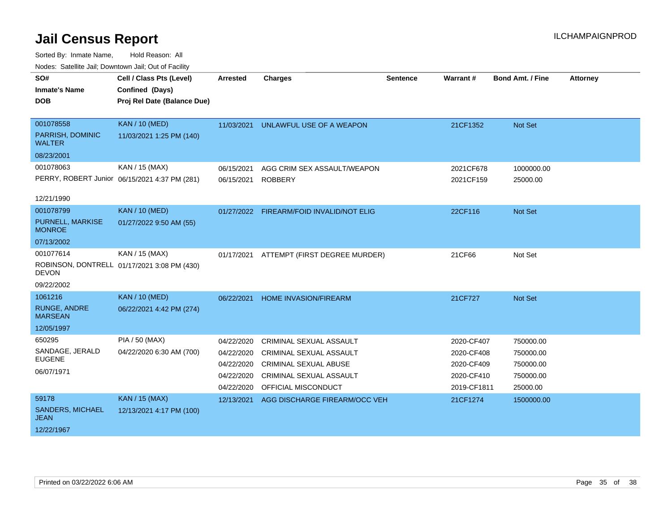| SO#                               | Cell / Class Pts (Level)                      | <b>Arrested</b> | <b>Charges</b>                           | <b>Sentence</b> | Warrant#    | <b>Bond Amt. / Fine</b> | <b>Attorney</b> |
|-----------------------------------|-----------------------------------------------|-----------------|------------------------------------------|-----------------|-------------|-------------------------|-----------------|
| <b>Inmate's Name</b>              | Confined (Days)                               |                 |                                          |                 |             |                         |                 |
| <b>DOB</b>                        | Proj Rel Date (Balance Due)                   |                 |                                          |                 |             |                         |                 |
|                                   |                                               |                 |                                          |                 |             |                         |                 |
| 001078558                         | <b>KAN / 10 (MED)</b>                         | 11/03/2021      | UNLAWFUL USE OF A WEAPON                 |                 | 21CF1352    | <b>Not Set</b>          |                 |
| PARRISH, DOMINIC<br>WALTER        | 11/03/2021 1:25 PM (140)                      |                 |                                          |                 |             |                         |                 |
| 08/23/2001                        |                                               |                 |                                          |                 |             |                         |                 |
| 001078063                         | KAN / 15 (MAX)                                | 06/15/2021      | AGG CRIM SEX ASSAULT/WEAPON              |                 | 2021CF678   | 1000000.00              |                 |
|                                   | PERRY, ROBERT Junior 06/15/2021 4:37 PM (281) | 06/15/2021      | <b>ROBBERY</b>                           |                 | 2021CF159   | 25000.00                |                 |
|                                   |                                               |                 |                                          |                 |             |                         |                 |
| 12/21/1990                        |                                               |                 |                                          |                 |             |                         |                 |
| 001078799                         | <b>KAN / 10 (MED)</b>                         |                 | 01/27/2022 FIREARM/FOID INVALID/NOT ELIG |                 | 22CF116     | Not Set                 |                 |
| PURNELL, MARKISE<br><b>MONROE</b> | 01/27/2022 9:50 AM (55)                       |                 |                                          |                 |             |                         |                 |
| 07/13/2002                        |                                               |                 |                                          |                 |             |                         |                 |
| 001077614                         | KAN / 15 (MAX)                                | 01/17/2021      | ATTEMPT (FIRST DEGREE MURDER)            |                 | 21CF66      | Not Set                 |                 |
| <b>DEVON</b>                      | ROBINSON, DONTRELL 01/17/2021 3:08 PM (430)   |                 |                                          |                 |             |                         |                 |
| 09/22/2002                        |                                               |                 |                                          |                 |             |                         |                 |
| 1061216                           | <b>KAN / 10 (MED)</b>                         | 06/22/2021      | <b>HOME INVASION/FIREARM</b>             |                 | 21CF727     | <b>Not Set</b>          |                 |
| RUNGE, ANDRE<br><b>MARSEAN</b>    | 06/22/2021 4:42 PM (274)                      |                 |                                          |                 |             |                         |                 |
| 12/05/1997                        |                                               |                 |                                          |                 |             |                         |                 |
| 650295                            | PIA / 50 (MAX)                                | 04/22/2020      | CRIMINAL SEXUAL ASSAULT                  |                 | 2020-CF407  | 750000.00               |                 |
| SANDAGE, JERALD                   | 04/22/2020 6:30 AM (700)                      | 04/22/2020      | <b>CRIMINAL SEXUAL ASSAULT</b>           |                 | 2020-CF408  | 750000.00               |                 |
| <b>EUGENE</b>                     |                                               | 04/22/2020      | <b>CRIMINAL SEXUAL ABUSE</b>             |                 | 2020-CF409  | 750000.00               |                 |
| 06/07/1971                        |                                               | 04/22/2020      | <b>CRIMINAL SEXUAL ASSAULT</b>           |                 | 2020-CF410  | 750000.00               |                 |
|                                   |                                               | 04/22/2020      | OFFICIAL MISCONDUCT                      |                 | 2019-CF1811 | 25000.00                |                 |
| 59178                             | <b>KAN / 15 (MAX)</b>                         | 12/13/2021      | AGG DISCHARGE FIREARM/OCC VEH            |                 | 21CF1274    | 1500000.00              |                 |
| SANDERS, MICHAEL<br><b>JEAN</b>   | 12/13/2021 4:17 PM (100)                      |                 |                                          |                 |             |                         |                 |
| 12/22/1967                        |                                               |                 |                                          |                 |             |                         |                 |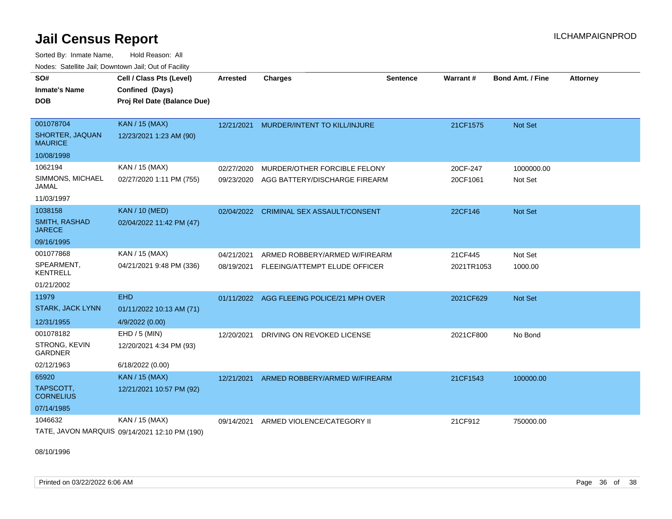Sorted By: Inmate Name, Hold Reason: All Nodes: Satellite Jail; Downtown Jail; Out of Facility

| SO#                                   | Cell / Class Pts (Level)                      | <b>Arrested</b> | <b>Charges</b>                      | <b>Sentence</b> | Warrant#   | <b>Bond Amt. / Fine</b> | <b>Attorney</b> |
|---------------------------------------|-----------------------------------------------|-----------------|-------------------------------------|-----------------|------------|-------------------------|-----------------|
| Inmate's Name                         | Confined (Days)                               |                 |                                     |                 |            |                         |                 |
| <b>DOB</b>                            | Proj Rel Date (Balance Due)                   |                 |                                     |                 |            |                         |                 |
|                                       |                                               |                 |                                     |                 |            |                         |                 |
| 001078704                             | <b>KAN / 15 (MAX)</b>                         | 12/21/2021      | MURDER/INTENT TO KILL/INJURE        |                 | 21CF1575   | <b>Not Set</b>          |                 |
| SHORTER, JAQUAN<br><b>MAURICE</b>     | 12/23/2021 1:23 AM (90)                       |                 |                                     |                 |            |                         |                 |
| 10/08/1998                            |                                               |                 |                                     |                 |            |                         |                 |
| 1062194                               | KAN / 15 (MAX)                                | 02/27/2020      | MURDER/OTHER FORCIBLE FELONY        |                 | 20CF-247   | 1000000.00              |                 |
| SIMMONS, MICHAEL<br>JAMAL             | 02/27/2020 1:11 PM (755)                      | 09/23/2020      | AGG BATTERY/DISCHARGE FIREARM       |                 | 20CF1061   | Not Set                 |                 |
| 11/03/1997                            |                                               |                 |                                     |                 |            |                         |                 |
| 1038158                               | <b>KAN / 10 (MED)</b>                         | 02/04/2022      | <b>CRIMINAL SEX ASSAULT/CONSENT</b> |                 | 22CF146    | <b>Not Set</b>          |                 |
| <b>SMITH, RASHAD</b><br><b>JARECE</b> | 02/04/2022 11:42 PM (47)                      |                 |                                     |                 |            |                         |                 |
| 09/16/1995                            |                                               |                 |                                     |                 |            |                         |                 |
| 001077868                             | KAN / 15 (MAX)                                | 04/21/2021      | ARMED ROBBERY/ARMED W/FIREARM       |                 | 21CF445    | Not Set                 |                 |
| SPEARMENT,<br><b>KENTRELL</b>         | 04/21/2021 9:48 PM (336)                      | 08/19/2021      | FLEEING/ATTEMPT ELUDE OFFICER       |                 | 2021TR1053 | 1000.00                 |                 |
| 01/21/2002                            |                                               |                 |                                     |                 |            |                         |                 |
| 11979                                 | <b>EHD</b>                                    | 01/11/2022      | AGG FLEEING POLICE/21 MPH OVER      |                 | 2021CF629  | <b>Not Set</b>          |                 |
| <b>STARK, JACK LYNN</b>               | 01/11/2022 10:13 AM (71)                      |                 |                                     |                 |            |                         |                 |
| 12/31/1955                            | 4/9/2022 (0.00)                               |                 |                                     |                 |            |                         |                 |
| 001078182                             | $EHD / 5$ (MIN)                               | 12/20/2021      | DRIVING ON REVOKED LICENSE          |                 | 2021CF800  | No Bond                 |                 |
| STRONG, KEVIN<br><b>GARDNER</b>       | 12/20/2021 4:34 PM (93)                       |                 |                                     |                 |            |                         |                 |
| 02/12/1963                            | 6/18/2022 (0.00)                              |                 |                                     |                 |            |                         |                 |
| 65920                                 | <b>KAN / 15 (MAX)</b>                         | 12/21/2021      | ARMED ROBBERY/ARMED W/FIREARM       |                 | 21CF1543   | 100000.00               |                 |
| TAPSCOTT,<br><b>CORNELIUS</b>         | 12/21/2021 10:57 PM (92)                      |                 |                                     |                 |            |                         |                 |
| 07/14/1985                            |                                               |                 |                                     |                 |            |                         |                 |
| 1046632                               | KAN / 15 (MAX)                                | 09/14/2021      | ARMED VIOLENCE/CATEGORY II          |                 | 21CF912    | 750000.00               |                 |
|                                       | TATE, JAVON MARQUIS 09/14/2021 12:10 PM (190) |                 |                                     |                 |            |                         |                 |

08/10/1996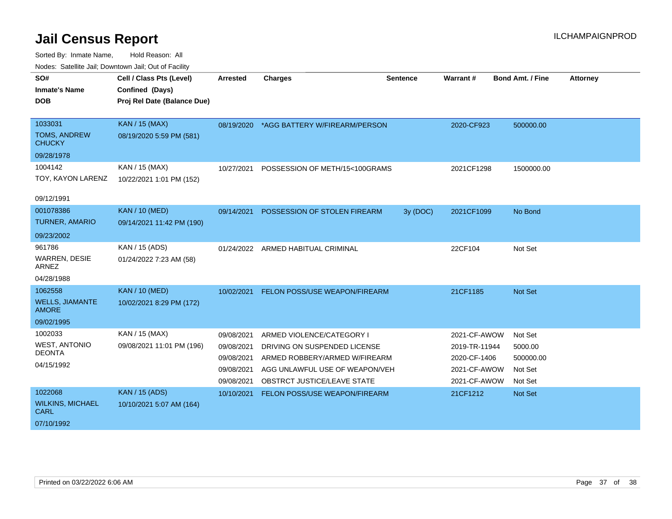| <u>Houco. Catolino dall, Downtown dall, Out of Fuolint</u> |                             |            |                                          |                 |               |                         |                 |
|------------------------------------------------------------|-----------------------------|------------|------------------------------------------|-----------------|---------------|-------------------------|-----------------|
| SO#                                                        | Cell / Class Pts (Level)    | Arrested   | <b>Charges</b>                           | <b>Sentence</b> | Warrant#      | <b>Bond Amt. / Fine</b> | <b>Attorney</b> |
| <b>Inmate's Name</b>                                       | Confined (Days)             |            |                                          |                 |               |                         |                 |
| <b>DOB</b>                                                 | Proj Rel Date (Balance Due) |            |                                          |                 |               |                         |                 |
|                                                            |                             |            |                                          |                 |               |                         |                 |
| 1033031                                                    | KAN / 15 (MAX)              |            | 08/19/2020 *AGG BATTERY W/FIREARM/PERSON |                 | 2020-CF923    | 500000.00               |                 |
| <b>TOMS, ANDREW</b><br><b>CHUCKY</b>                       | 08/19/2020 5:59 PM (581)    |            |                                          |                 |               |                         |                 |
| 09/28/1978                                                 |                             |            |                                          |                 |               |                         |                 |
| 1004142                                                    | KAN / 15 (MAX)              | 10/27/2021 | POSSESSION OF METH/15<100GRAMS           |                 | 2021CF1298    | 1500000.00              |                 |
| TOY, KAYON LARENZ                                          | 10/22/2021 1:01 PM (152)    |            |                                          |                 |               |                         |                 |
|                                                            |                             |            |                                          |                 |               |                         |                 |
| 09/12/1991                                                 |                             |            |                                          |                 |               |                         |                 |
| 001078386                                                  | <b>KAN / 10 (MED)</b>       | 09/14/2021 | <b>POSSESSION OF STOLEN FIREARM</b>      | 3y (DOC)        | 2021CF1099    | No Bond                 |                 |
| <b>TURNER, AMARIO</b>                                      | 09/14/2021 11:42 PM (190)   |            |                                          |                 |               |                         |                 |
| 09/23/2002                                                 |                             |            |                                          |                 |               |                         |                 |
| 961786                                                     | KAN / 15 (ADS)              |            | 01/24/2022 ARMED HABITUAL CRIMINAL       |                 | 22CF104       | Not Set                 |                 |
| <b>WARREN, DESIE</b><br>ARNEZ                              | 01/24/2022 7:23 AM (58)     |            |                                          |                 |               |                         |                 |
| 04/28/1988                                                 |                             |            |                                          |                 |               |                         |                 |
| 1062558                                                    | <b>KAN / 10 (MED)</b>       | 10/02/2021 | <b>FELON POSS/USE WEAPON/FIREARM</b>     |                 | 21CF1185      | Not Set                 |                 |
| <b>WELLS, JIAMANTE</b><br><b>AMORE</b>                     | 10/02/2021 8:29 PM (172)    |            |                                          |                 |               |                         |                 |
| 09/02/1995                                                 |                             |            |                                          |                 |               |                         |                 |
| 1002033                                                    | KAN / 15 (MAX)              | 09/08/2021 | ARMED VIOLENCE/CATEGORY I                |                 | 2021-CF-AWOW  | Not Set                 |                 |
| <b>WEST, ANTONIO</b>                                       | 09/08/2021 11:01 PM (196)   | 09/08/2021 | DRIVING ON SUSPENDED LICENSE             |                 | 2019-TR-11944 | 5000.00                 |                 |
| <b>DEONTA</b>                                              |                             | 09/08/2021 | ARMED ROBBERY/ARMED W/FIREARM            |                 | 2020-CF-1406  | 500000.00               |                 |
| 04/15/1992                                                 |                             | 09/08/2021 | AGG UNLAWFUL USE OF WEAPON/VEH           |                 | 2021-CF-AWOW  | Not Set                 |                 |
|                                                            |                             | 09/08/2021 | OBSTRCT JUSTICE/LEAVE STATE              |                 | 2021-CF-AWOW  | Not Set                 |                 |
| 1022068                                                    | <b>KAN / 15 (ADS)</b>       | 10/10/2021 | FELON POSS/USE WEAPON/FIREARM            |                 | 21CF1212      | Not Set                 |                 |
| <b>WILKINS, MICHAEL</b><br><b>CARL</b>                     | 10/10/2021 5:07 AM (164)    |            |                                          |                 |               |                         |                 |
| 07/10/1992                                                 |                             |            |                                          |                 |               |                         |                 |